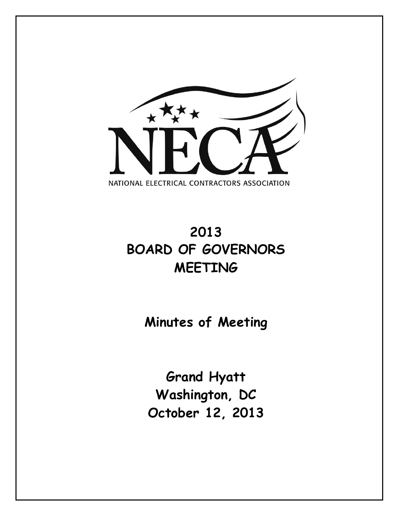

# **2013 BOARD OF GOVERNORS MEETING**

**Minutes of Meeting**

**Grand Hyatt Washington, DC October 12, 2013**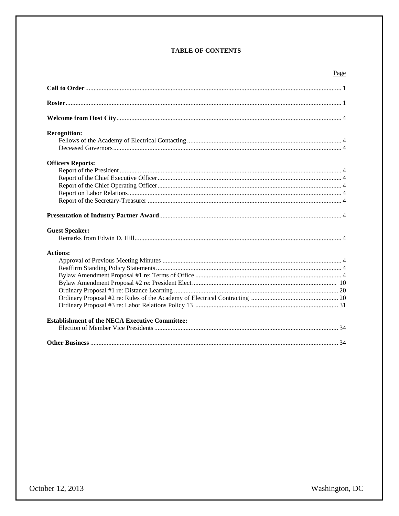# **TABLE OF CONTENTS**

| October 12, 2013 |  |
|------------------|--|
|------------------|--|

| <b>Recognition:</b>                                   |  |
|-------------------------------------------------------|--|
|                                                       |  |
|                                                       |  |
| <b>Officers Reports:</b>                              |  |
|                                                       |  |
|                                                       |  |
|                                                       |  |
|                                                       |  |
|                                                       |  |
|                                                       |  |
| <b>Guest Speaker:</b>                                 |  |
|                                                       |  |
| <b>Actions:</b>                                       |  |
|                                                       |  |
|                                                       |  |
|                                                       |  |
|                                                       |  |
|                                                       |  |
|                                                       |  |
|                                                       |  |
| <b>Establishment of the NECA Executive Committee:</b> |  |
|                                                       |  |
|                                                       |  |

Page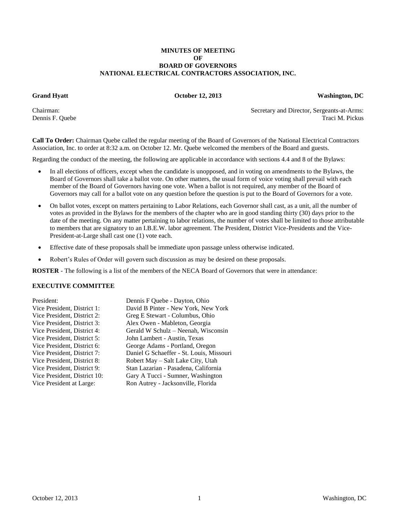## **MINUTES OF MEETING OF BOARD OF GOVERNORS NATIONAL ELECTRICAL CONTRACTORS ASSOCIATION, INC.**

**Grand Hyatt October 12, 2013 Washington, DC**

Chairman: Secretary and Director, Sergeants-at-Arms: Dennis F. Quebe Traci M. Pickus Traci M. Pickus Traci M. Pickus Traci M. Pickus Traci M. Pickus Traci M. Pickus

**Call To Order:** Chairman Quebe called the regular meeting of the Board of Governors of the National Electrical Contractors Association, Inc. to order at 8:32 a.m. on October 12. Mr. Quebe welcomed the members of the Board and guests.

Regarding the conduct of the meeting, the following are applicable in accordance with sections 4.4 and 8 of the Bylaws:

- In all elections of officers, except when the candidate is unopposed, and in voting on amendments to the Bylaws, the Board of Governors shall take a ballot vote. On other matters, the usual form of voice voting shall prevail with each member of the Board of Governors having one vote. When a ballot is not required, any member of the Board of Governors may call for a ballot vote on any question before the question is put to the Board of Governors for a vote.
- On ballot votes, except on matters pertaining to Labor Relations, each Governor shall cast, as a unit, all the number of votes as provided in the Bylaws for the members of the chapter who are in good standing thirty (30) days prior to the date of the meeting. On any matter pertaining to labor relations, the number of votes shall be limited to those attributable to members that are signatory to an I.B.E.W. labor agreement. The President, District Vice-Presidents and the Vice-President-at-Large shall cast one (1) vote each.
- Effective date of these proposals shall be immediate upon passage unless otherwise indicated.
- Robert's Rules of Order will govern such discussion as may be desired on these proposals.

**ROSTER** - The following is a list of the members of the NECA Board of Governors that were in attendance:

# **EXECUTIVE COMMITTEE**

| President:                   | Dennis F Quebe - Dayton, Ohio            |
|------------------------------|------------------------------------------|
| Vice President, District 1:  | David B Pinter - New York, New York      |
| Vice President, District 2:  | Greg E Stewart - Columbus, Ohio          |
| Vice President, District 3:  | Alex Owen - Mableton, Georgia            |
| Vice President, District 4:  | Gerald W Schulz – Neenah, Wisconsin      |
| Vice President, District 5:  | John Lambert - Austin, Texas             |
| Vice President, District 6:  | George Adams - Portland, Oregon          |
| Vice President, District 7:  | Daniel G Schaeffer - St. Louis, Missouri |
| Vice President, District 8:  | Robert May – Salt Lake City, Utah        |
| Vice President, District 9:  | Stan Lazarian - Pasadena, California     |
| Vice President, District 10: | Gary A Tucci - Sumner, Washington        |
| Vice President at Large:     | Ron Autrey - Jacksonville, Florida       |
|                              |                                          |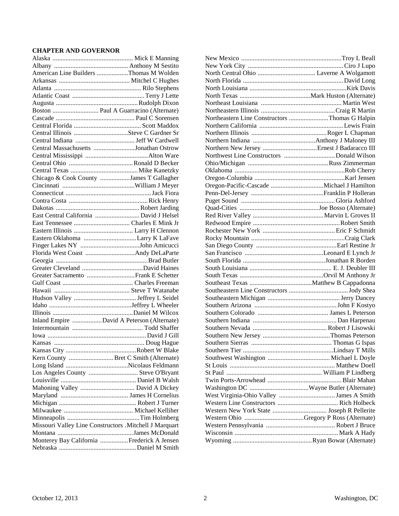# **CHAPTER AND GOVERNOR**

| American Line Builders Thomas M Wolden                  |  |
|---------------------------------------------------------|--|
|                                                         |  |
|                                                         |  |
|                                                         |  |
|                                                         |  |
| Boston  Paul A Guarracino (Alternate)                   |  |
|                                                         |  |
|                                                         |  |
|                                                         |  |
|                                                         |  |
| Central Massachusetts Jonathan Ostrow                   |  |
|                                                         |  |
|                                                         |  |
|                                                         |  |
| Chicago & Cook County James T Gallagher                 |  |
|                                                         |  |
|                                                         |  |
|                                                         |  |
|                                                         |  |
| East Central California  David J Helsel                 |  |
|                                                         |  |
|                                                         |  |
|                                                         |  |
|                                                         |  |
|                                                         |  |
|                                                         |  |
|                                                         |  |
|                                                         |  |
|                                                         |  |
|                                                         |  |
|                                                         |  |
|                                                         |  |
|                                                         |  |
| Inland Empire David A Peterson (Alternate)              |  |
|                                                         |  |
|                                                         |  |
|                                                         |  |
|                                                         |  |
| Kern County  Bret C Smith (Alternate)                   |  |
|                                                         |  |
| Los Angeles County  Steve O'Bryant                      |  |
|                                                         |  |
| Mahoning Valley  David A Dickey                         |  |
|                                                         |  |
|                                                         |  |
|                                                         |  |
|                                                         |  |
| Missouri Valley Line Constructors . Mitchell J Marquart |  |
|                                                         |  |
| Monterey Bay California Frederick A Jensen              |  |
|                                                         |  |
|                                                         |  |

| Northeastern Line Constructors Thomas G Halpin |  |
|------------------------------------------------|--|
|                                                |  |
|                                                |  |
|                                                |  |
|                                                |  |
|                                                |  |
|                                                |  |
|                                                |  |
|                                                |  |
|                                                |  |
|                                                |  |
|                                                |  |
|                                                |  |
|                                                |  |
|                                                |  |
|                                                |  |
|                                                |  |
|                                                |  |
|                                                |  |
|                                                |  |
|                                                |  |
|                                                |  |
|                                                |  |
|                                                |  |
|                                                |  |
|                                                |  |
|                                                |  |
|                                                |  |
|                                                |  |
|                                                |  |
|                                                |  |
|                                                |  |
|                                                |  |
|                                                |  |
|                                                |  |
|                                                |  |
|                                                |  |
|                                                |  |
|                                                |  |
|                                                |  |
|                                                |  |
|                                                |  |
|                                                |  |
|                                                |  |
|                                                |  |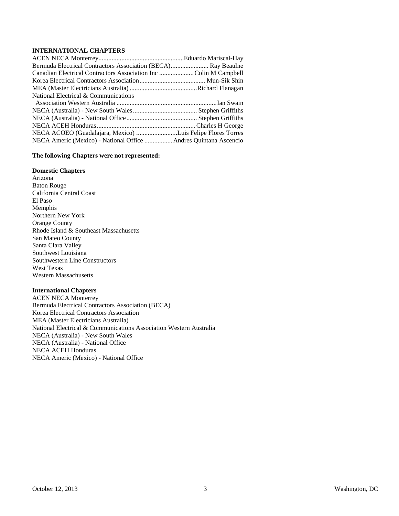# **INTERNATIONAL CHAPTERS**

| Bermuda Electrical Contractors Association (BECA) Ray Beaulne   |  |
|-----------------------------------------------------------------|--|
| Canadian Electrical Contractors Association IncColin M Campbell |  |
|                                                                 |  |
|                                                                 |  |
| National Electrical & Communications                            |  |
|                                                                 |  |
|                                                                 |  |
|                                                                 |  |
|                                                                 |  |
|                                                                 |  |
| NECA ACOEO (Guadalajara, Mexico) Luis Felipe Flores Torres      |  |

#### **The following Chapters were not represented:**

#### **Domestic Chapters**

Arizona Baton Rouge California Central Coast El Paso Memphis Northern New York Orange County Rhode Island & Southeast Massachusetts San Mateo County Santa Clara Valley Southwest Louisiana Southwestern Line Constructors West Texas Western Massachusetts

# **International Chapters**

ACEN NECA Monterrey Bermuda Electrical Contractors Association (BECA) Korea Electrical Contractors Association MEA (Master Electricians Australia) National Electrical & Communications Association Western Australia NECA (Australia) - New South Wales NECA (Australia) - National Office NECA ACEH Honduras NECA Americ (Mexico) - National Office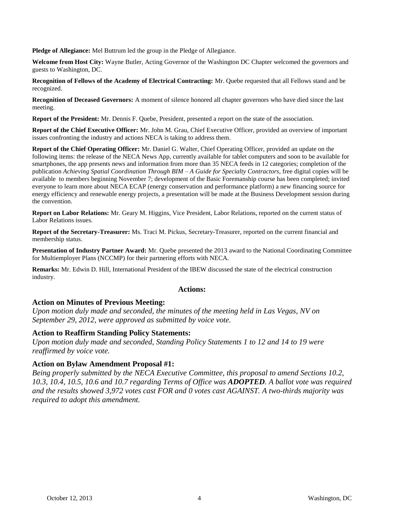**Pledge of Allegiance:** Mel Buttrum led the group in the Pledge of Allegiance.

**Welcome from Host City:** Wayne Butler, Acting Governor of the Washington DC Chapter welcomed the governors and guests to Washington, DC.

**Recognition of Fellows of the Academy of Electrical Contracting:** Mr. Quebe requested that all Fellows stand and be recognized.

**Recognition of Deceased Governors:** A moment of silence honored all chapter governors who have died since the last meeting.

**Report of the President:** Mr. Dennis F. Quebe, President, presented a report on the state of the association.

**Report of the Chief Executive Officer:** Mr. John M. Grau, Chief Executive Officer, provided an overview of important issues confronting the industry and actions NECA is taking to address them.

**Report of the Chief Operating Officer:** Mr. Daniel G. Walter, Chief Operating Officer, provided an update on the following items: the release of the NECA News App, currently available for tablet computers and soon to be available for smartphones, the app presents news and information from more than 35 NECA feeds in 12 categories; completion of the publication *Achieving Spatial Coordination Through BIM – A Guide for Specialty Contractors*, free digital copies will be available to members beginning November 7; development of the Basic Foremanship course has been completed; invited everyone to learn more about NECA ECAP (energy conservation and performance platform) a new financing source for energy efficiency and renewable energy projects, a presentation will be made at the Business Development session during the convention.

**Report on Labor Relations:** Mr. Geary M. Higgins, Vice President, Labor Relations, reported on the current status of Labor Relations issues.

**Report of the Secretary-Treasurer:** Ms. Traci M. Pickus, Secretary-Treasurer, reported on the current financial and membership status.

**Presentation of Industry Partner Award:** Mr. Quebe presented the 2013 award to the National Coordinating Committee for Multiemployer Plans (NCCMP) for their partnering efforts with NECA.

**Remarks:** Mr. Edwin D. Hill, International President of the IBEW discussed the state of the electrical construction industry.

# **Actions:**

# **Action on Minutes of Previous Meeting:**

*Upon motion duly made and seconded, the minutes of the meeting held in Las Vegas, NV on September 29, 2012, were approved as submitted by voice vote.*

# **Action to Reaffirm Standing Policy Statements:**

*Upon motion duly made and seconded, Standing Policy Statements 1 to 12 and 14 to 19 were reaffirmed by voice vote.*

# **Action on Bylaw Amendment Proposal #1:**

*Being properly submitted by the NECA Executive Committee, this proposal to amend Sections 10.2, 10.3, 10.4, 10.5, 10.6 and 10.7 regarding Terms of Office was ADOPTED. A ballot vote was required and the results showed 3,972 votes cast FOR and 0 votes cast AGAINST. A two-thirds majority was required to adopt this amendment.*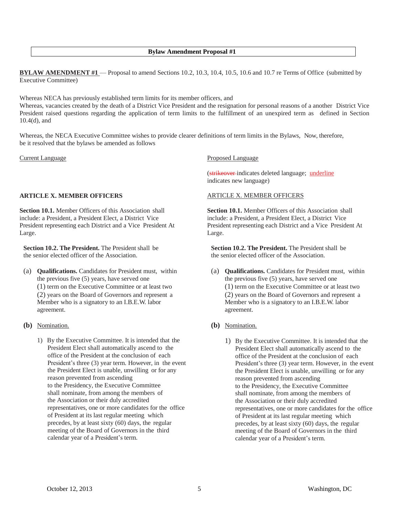## **Bylaw Amendment Proposal #1**

**BYLAW AMENDMENT #1** — Proposal to amend Sections 10.2, 10.3, 10.4, 10.5, 10.6 and 10.7 re Terms of Office (submitted by Executive Committee)

Whereas NECA has previously established term limits for its member officers, and

Whereas, vacancies created by the death of a District Vice President and the resignation for personal reasons of a another District Vice President raised questions regarding the application of term limits to the fulfillment of an unexpired term as defined in Section 10.4(d), and

Whereas, the NECA Executive Committee wishes to provide clearer definitions of term limits in the Bylaws, Now, therefore, be it resolved that the bylaws be amended as follows

Current Language

# **ARTICLE X. MEMBER OFFICERS**

**Section 10.1.** Member Officers of this Association shall include: a President, a President Elect, a District Vice President representing each District and a Vice President At Large.

**Section 10.2. The President.** The President shall be the senior elected officer of the Association.

- (a) **Qualifications.** Candidates for President must, within the previous five (5) years, have served one (1) term on the Executive Committee or at least two (2) years on the Board of Governors and represent a Member who is a signatory to an I.B.E.W. labor agreement.
- **(b)** Nomination.
	- 1) By the Executive Committee. It is intended that the President Elect shall automatically ascend to the office of the President at the conclusion of each President's three (3) year term. However, in the event the President Elect is unable, unwilling or for any reason prevented from ascending to the Presidency, the Executive Committee shall nominate, from among the members of the Association or their duly accredited representatives, one or more candidates for the office of President at its last regular meeting which precedes, by at least sixty (60) days, the regular meeting of the Board of Governors in the third calendar year of a President's term.

Proposed Language

(strikeover indicates deleted language; underline indicates new language)

#### ARTICLE X. MEMBER OFFICERS

**Section 10.1.** Member Officers of this Association shall include: a President, a President Elect, a District Vice President representing each District and a Vice President At Large.

**Section 10.2. The President.** The President shall be the senior elected officer of the Association.

- (a) **Qualifications.** Candidates for President must, within the previous five (5) years, have served one (1) term on the Executive Committee or at least two (2) years on the Board of Governors and represent a Member who is a signatory to an I.B.E.W. labor agreement.
- **(b)** Nomination.
	- 1) By the Executive Committee. It is intended that the President Elect shall automatically ascend to the office of the President at the conclusion of each President's three (3) year term. However, in the event the President Elect is unable, unwilling or for any reason prevented from ascending to the Presidency, the Executive Committee shall nominate, from among the members of the Association or their duly accredited representatives, one or more candidates for the office of President at its last regular meeting which precedes, by at least sixty (60) days, the regular meeting of the Board of Governors in the third calendar year of a President's term.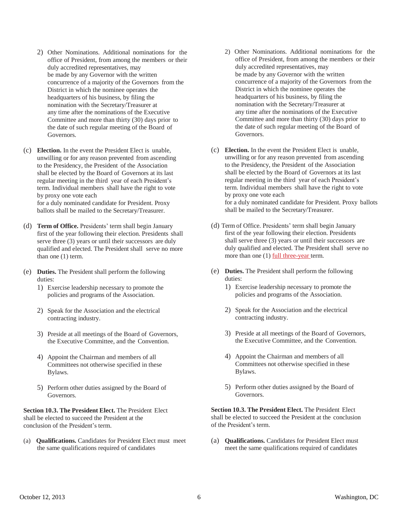- 2) Other Nominations. Additional nominations for the office of President, from among the members or their duly accredited representatives, may be made by any Governor with the written concurrence of a majority of the Governors from the District in which the nominee operates the headquarters of his business, by filing the nomination with the Secretary/Treasurer at any time after the nominations of the Executive Committee and more than thirty (30) days prior to the date of such regular meeting of the Board of Governors.
- (c) **Election.** In the event the President Elect is unable, unwilling or for any reason prevented from ascending to the Presidency, the President of the Association shall be elected by the Board of Governors at its last regular meeting in the third year of each President's term. Individual members shall have the right to vote by proxy one vote each for a duly nominated candidate for President. Proxy ballots shall be mailed to the Secretary/Treasurer.
- (d) **Term of Office.** Presidents' term shall begin January first of the year following their election. Presidents shall serve three (3) years or until their successors are duly qualified and elected. The President shall serve no more than one (1) term.
- (e) **Duties.** The President shall perform the following duties:
	- 1) Exercise leadership necessary to promote the policies and programs of the Association.
	- 2) Speak for the Association and the electrical contracting industry.
	- 3) Preside at all meetings of the Board of Governors, the Executive Committee, and the Convention.
	- 4) Appoint the Chairman and members of all Committees not otherwise specified in these Bylaws.
	- 5) Perform other duties assigned by the Board of Governors.

**Section 10.3. The President Elect.** The President Elect shall be elected to succeed the President at the conclusion of the President's term.

(a) **Qualifications.** Candidates for President Elect must meet the same qualifications required of candidates

- 2) Other Nominations. Additional nominations for the office of President, from among the members or their duly accredited representatives, may be made by any Governor with the written concurrence of a majority of the Governors from the District in which the nominee operates the headquarters of his business, by filing the nomination with the Secretary/Treasurer at any time after the nominations of the Executive Committee and more than thirty (30) days prior to the date of such regular meeting of the Board of Governors.
- (c) **Election.** In the event the President Elect is unable, unwilling or for any reason prevented from ascending to the Presidency, the President of the Association shall be elected by the Board of Governors at its last regular meeting in the third year of each President's term. Individual members shall have the right to vote by proxy one vote each for a duly nominated candidate for President. Proxy ballots shall be mailed to the Secretary/Treasurer.
- (d) Term of Office. Presidents' term shall begin January first of the year following their election. Presidents shall serve three (3) years or until their successors are duly qualified and elected. The President shall serve no more than one (1) full three-year term.
- (e) **Duties.** The President shall perform the following duties:
	- 1) Exercise leadership necessary to promote the policies and programs of the Association.
	- 2) Speak for the Association and the electrical contracting industry.
	- 3) Preside at all meetings of the Board of Governors, the Executive Committee, and the Convention.
	- 4) Appoint the Chairman and members of all Committees not otherwise specified in these Bylaws.
	- 5) Perform other duties assigned by the Board of Governors.

**Section 10.3. The President Elect.** The President Elect shall be elected to succeed the President at the conclusion of the President's term.

(a) **Qualifications.** Candidates for President Elect must meet the same qualifications required of candidates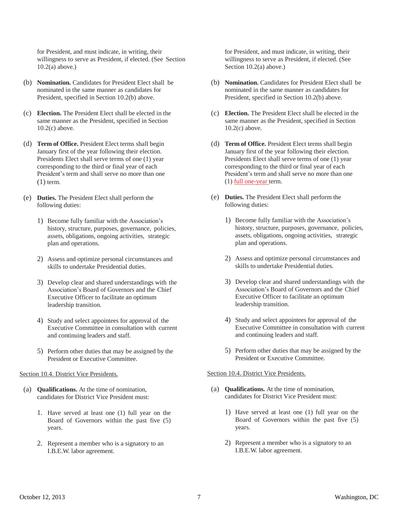for President, and must indicate, in writing, their willingness to serve as President, if elected. (See Section 10.2(a) above.)

- (b) **Nomination.** Candidates for President Elect shall be nominated in the same manner as candidates for President, specified in Section 10.2(b) above.
- (c) **Election.** The President Elect shall be elected in the same manner as the President, specified in Section 10.2(c) above.
- (d) **Term of Office.** President Elect terms shall begin January first of the year following their election. Presidents Elect shall serve terms of one (1) year corresponding to the third or final year of each President's term and shall serve no more than one  $(1)$  term.
- (e) **Duties.** The President Elect shall perform the following duties:
	- 1) Become fully familiar with the Association's history, structure, purposes, governance, policies, assets, obligations, ongoing activities, strategic plan and operations.
	- 2) Assess and optimize personal circumstances and skills to undertake Presidential duties.
	- 3) Develop clear and shared understandings with the Association's Board of Governors and the Chief Executive Officer to facilitate an optimum leadership transition.
	- 4) Study and select appointees for approval of the Executive Committee in consultation with current and continuing leaders and staff.
	- 5) Perform other duties that may be assigned by the President or Executive Committee.

#### Section 10.4. District Vice Presidents.

- (a) **Qualifications.** At the time of nomination, candidates for District Vice President must:
	- 1. Have served at least one (1) full year on the Board of Governors within the past five (5) years.
	- 2. Represent a member who is a signatory to an I.B.E.W. labor agreement.

for President, and must indicate, in writing, their willingness to serve as President, if elected. (See Section 10.2(a) above.)

- (b) **Nomination.** Candidates for President Elect shall be nominated in the same manner as candidates for President, specified in Section 10.2(b) above.
- (c) **Election.** The President Elect shall be elected in the same manner as the President, specified in Section 10.2(c) above.
- (d) **Term of Office.** President Elect terms shall begin January first of the year following their election. Presidents Elect shall serve terms of one (1) year corresponding to the third or final year of each President's term and shall serve no more than one (1) full one-year term.
- (e) **Duties.** The President Elect shall perform the following duties:
	- 1) Become fully familiar with the Association's history, structure, purposes, governance, policies, assets, obligations, ongoing activities, strategic plan and operations.
	- 2) Assess and optimize personal circumstances and skills to undertake Presidential duties.
	- 3) Develop clear and shared understandings with the Association's Board of Governors and the Chief Executive Officer to facilitate an optimum leadership transition.
	- 4) Study and select appointees for approval of the Executive Committee in consultation with current and continuing leaders and staff.
	- 5) Perform other duties that may be assigned by the President or Executive Committee.

# Section 10.4. District Vice Presidents.

- (a) **Qualifications.** At the time of nomination, candidates for District Vice President must:
	- 1) Have served at least one (1) full year on the Board of Governors within the past five (5) years.
	- 2) Represent a member who is a signatory to an I.B.E.W. labor agreement.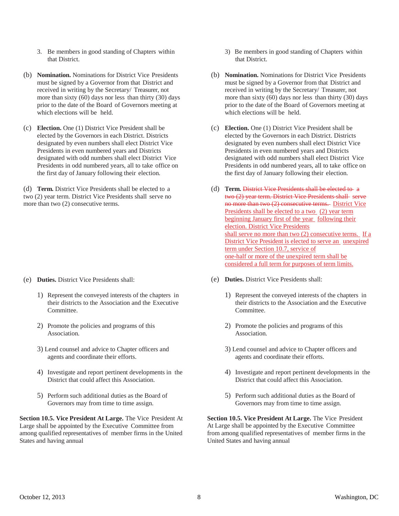- 3. Be members in good standing of Chapters within that District.
- (b) **Nomination.** Nominations for District Vice Presidents must be signed by a Governor from that District and received in writing by the Secretary/ Treasurer, not more than sixty  $(60)$  days nor less than thirty  $(30)$  days prior to the date of the Board of Governors meeting at which elections will be held.
- (c) **Election.** One (1) District Vice President shall be elected by the Governors in each District. Districts designated by even numbers shall elect District Vice Presidents in even numbered years and Districts designated with odd numbers shall elect District Vice Presidents in odd numbered years, all to take office on the first day of January following their election.

(d) **Term.** District Vice Presidents shall be elected to a two (2) year term. District Vice Presidents shall serve no more than two (2) consecutive terms.

- (e) **Duties.** District Vice Presidents shall:
	- 1) Represent the conveyed interests of the chapters in their districts to the Association and the Executive **Committee**
	- 2) Promote the policies and programs of this Association.
	- 3) Lend counsel and advice to Chapter officers and agents and coordinate their efforts.
	- 4) Investigate and report pertinent developments in the District that could affect this Association.
	- 5) Perform such additional duties as the Board of Governors may from time to time assign.

**Section 10.5. Vice President At Large.** The Vice President At Large shall be appointed by the Executive Committee from among qualified representatives of member firms in the United States and having annual

- 3) Be members in good standing of Chapters within that District.
- (b) **Nomination.** Nominations for District Vice Presidents must be signed by a Governor from that District and received in writing by the Secretary/ Treasurer, not more than sixty  $(60)$  days nor less than thirty  $(30)$  days prior to the date of the Board of Governors meeting at which elections will be held.
- (c) **Election.** One (1) District Vice President shall be elected by the Governors in each District. Districts designated by even numbers shall elect District Vice Presidents in even numbered years and Districts designated with odd numbers shall elect District Vice Presidents in odd numbered years, all to take office on the first day of January following their election.
- (d) **Term.** District Vice Presidents shall be elected to a two (2) year term. District Vice Presidents shall serve no more than two (2) consecutive terms. District Vice Presidents shall be elected to a two (2) year term beginning January first of the year following their election. District Vice Presidents shall serve no more than two (2) consecutive terms. If a District Vice President is elected to serve an unexpired term under Section 10.7, service of one-half or more of the unexpired term shall be considered a full term for purposes of term limits.
- (e) **Duties.** District Vice Presidents shall:
	- 1) Represent the conveyed interests of the chapters in their districts to the Association and the Executive **Committee**
	- 2) Promote the policies and programs of this Association.
	- 3) Lend counsel and advice to Chapter officers and agents and coordinate their efforts.
	- 4) Investigate and report pertinent developments in the District that could affect this Association.
	- 5) Perform such additional duties as the Board of Governors may from time to time assign.

**Section 10.5. Vice President At Large.** The Vice President At Large shall be appointed by the Executive Committee from among qualified representatives of member firms in the United States and having annual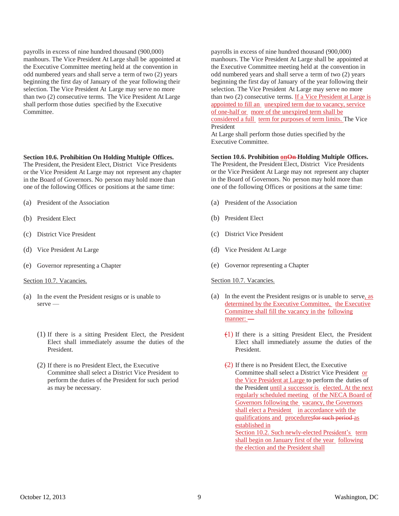payrolls in excess of nine hundred thousand (900,000) manhours. The Vice President At Large shall be appointed at the Executive Committee meeting held at the convention in odd numbered years and shall serve a term of two (2) years beginning the first day of January of the year following their selection. The Vice President At Large may serve no more than two (2) consecutive terms. The Vice President At Large shall perform those duties specified by the Executive Committee.

#### **Section 10.6. Prohibition On Holding Multiple Offices.**

The President, the President Elect, District Vice Presidents or the Vice President At Large may not represent any chapter in the Board of Governors. No person may hold more than one of the following Offices or positions at the same time:

- (a) President of the Association
- (b) President Elect
- (c) District Vice President
- (d) Vice President At Large
- (e) Governor representing a Chapter

#### Section 10.7. Vacancies.

- (a) In the event the President resigns or is unable to serve —
	- (1) If there is a sitting President Elect, the President Elect shall immediately assume the duties of the President.
	- (2) If there is no President Elect, the Executive Committee shall select a District Vice President to perform the duties of the President for such period as may be necessary.

payrolls in excess of nine hundred thousand (900,000) manhours. The Vice President At Large shall be appointed at the Executive Committee meeting held at the convention in odd numbered years and shall serve a term of two (2) years beginning the first day of January of the year following their selection. The Vice President At Large may serve no more than two (2) consecutive terms. If a Vice President at Large is appointed to fill an unexpired term due to vacancy, service of one-half or more of the unexpired term shall be considered a full term for purposes of term limits. The Vice President

At Large shall perform those duties specified by the Executive Committee.

#### Section 10.6. Prohibition **on**On-Holding Multiple Offices.

The President, the President Elect, District Vice Presidents or the Vice President At Large may not represent any chapter in the Board of Governors. No person may hold more than one of the following Offices or positions at the same time:

- (a) President of the Association
- (b) President Elect
- (c) District Vice President
- (d) Vice President At Large
- (e) Governor representing a Chapter

#### Section 10.7. Vacancies.

- (a) In the event the President resigns or is unable to serve, as determined by the Executive Committee, the Executive Committee shall fill the vacancy in the following manner: —
	- $(1)$  If there is a sitting President Elect, the President Elect shall immediately assume the duties of the President.
	- $(2)$  If there is no President Elect, the Executive Committee shall select a District Vice President or the Vice President at Large to perform the duties of the President until a successor is elected. At the next regularly scheduled meeting of the NECA Board of Governors following the vacancy, the Governors shall elect a President in accordance with the qualifications and proceduresfor such period as established in Section 10.2. Such newly-elected President's term shall begin on January first of the year following the election and the President shall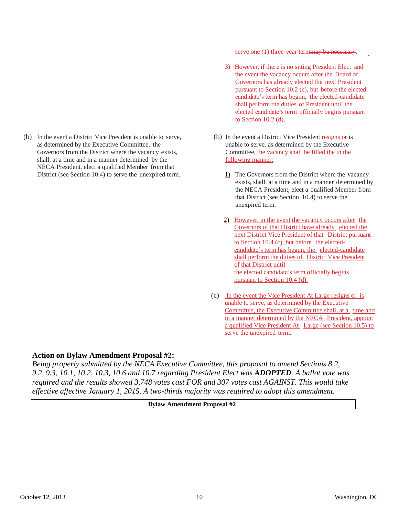(b) In the event a District Vice President is unable to serve, as determined by the Executive Committee, the Governors from the District where the vacancy exists, shall, at a time and in a manner determined by the NECA President, elect a qualified Member from that District (see Section 10.4) to serve the unexpired term.

serve one (1) three-year termmay be necessary.

- 3) However, if there is no sitting President Elect and the event the vacancy occurs after the Board of Governors has already elected the next President pursuant to Section 10.2 (c), but before the electedcandidate's term has begun, the elected-candidate shall perform the duties of President until the elected candidate's term officially begins pursuant to Section 10.2 (d).
- (b) In the event a District Vice President resigns or is unable to serve, as determined by the Executive Committee, the vacancy shall be filled the in the following manner:
	- 1) The Governors from the District where the vacancy exists, shall, at a time and in a manner determined by the NECA President, elect a qualified Member from that District (see Section 10.4) to serve the unexpired term.
	- 2) However, in the event the vacancy occurs after the Governors of that District have already elected the next District Vice President of that District pursuant to Section 10.4 (c), but before the electedcandidate's term has begun, the elected-candidate shall perform the duties of District Vice President of that District until the elected candidate's term officially begins pursuant to Section 10.4 (d).
- (c) In the event the Vice President At Large resigns or is unable to serve, as determined by the Executive Committee, the Executive Committee shall, at a time and in a manner determined by the NECA President, appoint a qualified Vice President At Large (see Section 10.5) to serve the unexpired term.

# **Action on Bylaw Amendment Proposal #2:**

*Being properly submitted by the NECA Executive Committee, this proposal to amend Sections 8.2, 9.2, 9.3, 10.1, 10.2, 10.3, 10.6 and 10.7 regarding President Elect was ADOPTED. A ballot vote was required and the results showed 3,748 votes cast FOR and 307 votes cast AGAINST. This would take effective affective January 1, 2015. A two-thirds majority was required to adopt this amendment.*

## **Bylaw Amendment Proposal #2**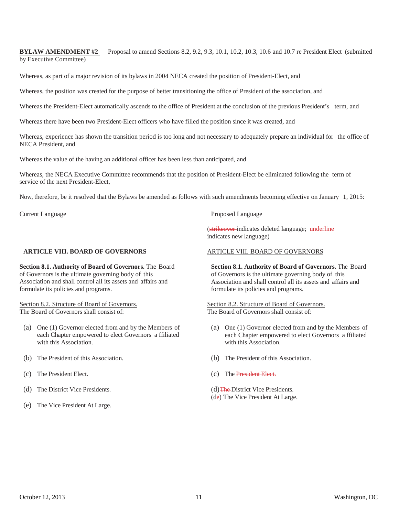**BYLAW AMENDMENT #2** — Proposal to amend Sections 8.2, 9.2, 9.3, 10.1, 10.2, 10.3, 10.6 and 10.7 re President Elect (submitted by Executive Committee)

Whereas, as part of a major revision of its bylaws in 2004 NECA created the position of President-Elect, and

Whereas, the position was created for the purpose of better transitioning the office of President of the association, and

Whereas the President-Elect automatically ascends to the office of President at the conclusion of the previous President's term, and

Whereas there have been two President-Elect officers who have filled the position since it was created, and

Whereas, experience has shown the transition period is too long and not necessary to adequately prepare an individual for the office of NECA President, and

Whereas the value of the having an additional officer has been less than anticipated, and

Whereas, the NECA Executive Committee recommends that the position of President-Elect be eliminated following the term of service of the next President-Elect,

Now, therefore, be it resolved that the Bylaws be amended as follows with such amendments becoming effective on January 1, 2015:

Current Language

## **ARTICLE VIII. BOARD OF GOVERNORS**

**Section 8.1. Authority of Board of Governors.** The Board of Governors is the ultimate governing body of this Association and shall control all its assets and affairs and formulate its policies and programs.

Section 8.2. Structure of Board of Governors. The Board of Governors shall consist of:

- (a) One (1) Governor elected from and by the Members of each Chapter empowered to elect Governors a ffiliated with this Association.
- (b) The President of this Association.
- (c) The President Elect.
- (d) The District Vice Presidents.
- (e) The Vice President At Large.

#### Proposed Language

(strikeover indicates deleted language; underline indicates new language)

## ARTICLE VIII. BOARD OF GOVERNORS

**Section 8.1. Authority of Board of Governors.** The Board of Governors is the ultimate governing body of this Association and shall control all its assets and affairs and formulate its policies and programs.

Section 8.2. Structure of Board of Governors. The Board of Governors shall consist of:

- (a) One (1) Governor elected from and by the Members of each Chapter empowered to elect Governors a ffiliated with this Association.
- (b) The President of this Association.
- (c) The President Elect.
- (d) The District Vice Presidents. (de) The Vice President At Large.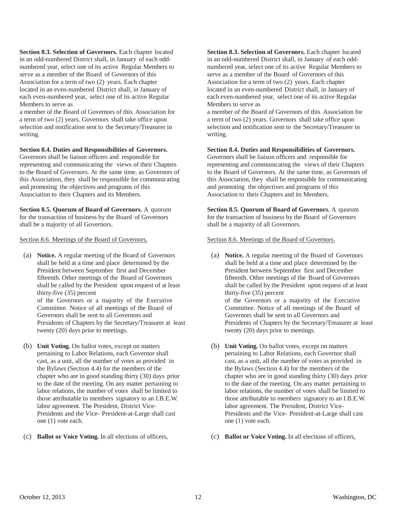**Section 8.3. Selection of Governors.** Each chapter located in an odd-numbered District shall, in January of each oddnumbered year, select one of its active Regular Members to serve as a member of the Board of Governors of this Association for a term of two (2) years. Each chapter located in an even-numbered District shall, in January of each even-numbered year, select one of its active Regular Members to serve as

a member of the Board of Governors of this Association for a term of two (2) years. Governors shall take office upon selection and notification sent to the Secretary/Treasurer in writing.

## **Section 8.4. Duties and Responsibilities of Governors.**

Governors shall be liaison officers and responsible for representing and communicating the views of their Chapters to the Board of Governors. At the same time, as Governors of this Association, they shall be responsible for communicating and promoting the objectives and programs of this Association to their Chapters and its Members.

**Section 8.5. Quorum of Board of Governors.** A quorum for the transaction of business by the Board of Governors shall be a majority of all Governors.

Section 8.6. Meetings of the Board of Governors.

(a) **Notice.** A regular meeting of the Board of Governors shall be held at a time and place determined by the President between September first and December fifteenth. Other meetings of the Board of Governors shall be called by the President upon request of at least thirty-five (35) percent of the Governors or a majority of the Executive Committee. Notice of all meetings of the Board of Governors shall be sent to all Governors and

Presidents of Chapters by the Secretary/Treasurer at least twenty (20) days prior to meetings.

- (b) **Unit Voting.** On ballot votes, except on matters pertaining to Labor Relations, each Governor shall cast, as a unit, all the number of votes as provided in the Bylaws (Section 4.4) for the members of the chapter who are in good standing thirty (30) days prior to the date of the meeting. On any matter pertaining to labor relations, the number of votes shall be limited to those attributable to members signatory to an I.B.E.W. labor agreement. The President, District Vice-Presidents and the Vice- President-at-Large shall cast one (1) vote each.
- (c) **Ballot or Voice Voting.** In all elections of officers,

**Section 8.3. Selection of Governors.** Each chapter located in an odd-numbered District shall, in January of each oddnumbered year, select one of its active Regular Members to serve as a member of the Board of Governors of this Association for a term of two (2) years. Each chapter located in an even-numbered District shall, in January of each even-numbered year, select one of its active Regular Members to serve as

a member of the Board of Governors of this Association for a term of two (2) years. Governors shall take office upon selection and notification sent to the Secretary/Treasurer in writing.

#### **Section 8.4. Duties and Responsibilities of Governors.**

Governors shall be liaison officers and responsible for representing and communicating the views of their Chapters to the Board of Governors. At the same time, as Governors of this Association, they shall be responsible for communicating and promoting the objectives and programs of this Association to their Chapters and its Members.

**Section 8.5. Quorum of Board of Governors.** A quorum for the transaction of business by the Board of Governors shall be a majority of all Governors.

#### Section 8.6. Meetings of the Board of Governors.

- (a) **Notice.** A regular meeting of the Board of Governors shall be held at a time and place determined by the President between September first and December fifteenth. Other meetings of the Board of Governors shall be called by the President upon request of at least thirty-five (35) percent of the Governors or a majority of the Executive Committee. Notice of all meetings of the Board of Governors shall be sent to all Governors and Presidents of Chapters by the Secretary/Treasurer at least twenty (20) days prior to meetings.
- (b) **Unit Voting.** On ballot votes, except on matters pertaining to Labor Relations, each Governor shall cast, as a unit, all the number of votes as provided in the Bylaws (Section 4.4) for the members of the chapter who are in good standing thirty (30) days prior to the date of the meeting. On any matter pertaining to labor relations, the number of votes shall be limited to those attributable to members signatory to an I.B.E.W. labor agreement. The President, District Vice-Presidents and the Vice- President-at-Large shall cast one (1) vote each.
- (c) **Ballot or Voice Voting.** In all elections of officers,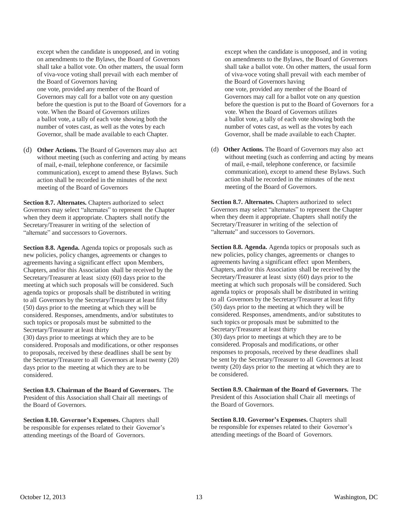except when the candidate is unopposed, and in voting on amendments to the Bylaws, the Board of Governors shall take a ballot vote. On other matters, the usual form of viva-voce voting shall prevail with each member of the Board of Governors having one vote, provided any member of the Board of Governors may call for a ballot vote on any question before the question is put to the Board of Governors for a vote. When the Board of Governors utilizes a ballot vote, a tally of each vote showing both the number of votes cast, as well as the votes by each Governor, shall be made available to each Chapter.

(d) **Other Actions.** The Board of Governors may also act without meeting (such as conferring and acting by means of mail, e-mail, telephone conference, or facsimile communication), except to amend these Bylaws. Such action shall be recorded in the minutes of the next meeting of the Board of Governors

**Section 8.7. Alternates.** Chapters authorized to select Governors may select "alternates" to represent the Chapter when they deem it appropriate. Chapters shall notify the Secretary/Treasurer in writing of the selection of "alternate" and successors to Governors.

**Section 8.8. Agenda.** Agenda topics or proposals such as new policies, policy changes, agreements or changes to agreements having a significant effect upon Members, Chapters, and/or this Association shall be received by the Secretary/Treasurer at least sixty (60) days prior to the meeting at which such proposals will be considered. Such agenda topics or proposals shall be distributed in writing to all Governors by the Secretary/Treasurer at least fifty (50) days prior to the meeting at which they will be considered. Responses, amendments, and/or substitutes to such topics or proposals must be submitted to the Secretary/Treasurer at least thirty (30) days prior to meetings at which they are to be considered. Proposals and modifications, or other responses to proposals, received by these deadlines shall be sent by the Secretary/Treasurer to all Governors at least twenty (20) days prior to the meeting at which they are to be considered.

**Section 8.9. Chairman of the Board of Governors.** The President of this Association shall Chair all meetings of the Board of Governors.

**Section 8.10. Governor's Expenses.** Chapters shall be responsible for expenses related to their Governor's attending meetings of the Board of Governors.

except when the candidate is unopposed, and in voting on amendments to the Bylaws, the Board of Governors shall take a ballot vote. On other matters, the usual form of viva-voce voting shall prevail with each member of the Board of Governors having one vote, provided any member of the Board of Governors may call for a ballot vote on any question before the question is put to the Board of Governors for a vote. When the Board of Governors utilizes a ballot vote, a tally of each vote showing both the number of votes cast, as well as the votes by each Governor, shall be made available to each Chapter.

(d) **Other Actions.** The Board of Governors may also act without meeting (such as conferring and acting by means) of mail, e-mail, telephone conference, or facsimile communication), except to amend these Bylaws. Such action shall be recorded in the minutes of the next meeting of the Board of Governors.

**Section 8.7. Alternates.** Chapters authorized to select Governors may select "alternates" to represent the Chapter when they deem it appropriate. Chapters shall notify the Secretary/Treasurer in writing of the selection of "alternate" and successors to Governors.

**Section 8.8. Agenda.** Agenda topics or proposals such as new policies, policy changes, agreements or changes to agreements having a significant effect upon Members, Chapters, and/or this Association shall be received by the Secretary/Treasurer at least sixty (60) days prior to the meeting at which such proposals will be considered. Such agenda topics or proposals shall be distributed in writing to all Governors by the Secretary/Treasurer at least fifty (50) days prior to the meeting at which they will be considered. Responses, amendments, and/or substitutes to such topics or proposals must be submitted to the Secretary/Treasurer at least thirty (30) days prior to meetings at which they are to be considered. Proposals and modifications, or other responses to proposals, received by these deadlines shall be sent by the Secretary/Treasurer to all Governors at least twenty (20) days prior to the meeting at which they are to be considered.

**Section 8.9. Chairman of the Board of Governors.** The President of this Association shall Chair all meetings of the Board of Governors.

**Section 8.10. Governor's Expenses.** Chapters shall be responsible for expenses related to their Governor's attending meetings of the Board of Governors.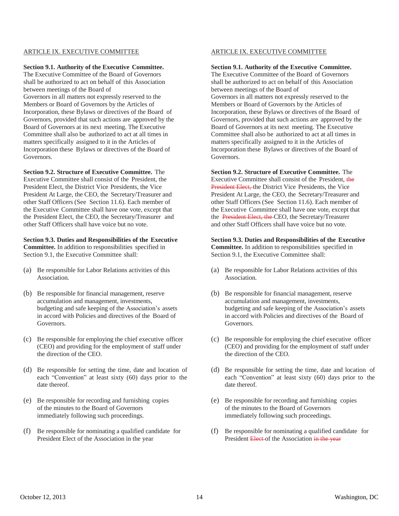## ARTICLE IX. EXECUTIVE COMMITTEE

#### **Section 9.1. Authority of the Executive Committee.**

The Executive Committee of the Board of Governors shall be authorized to act on behalf of this Association between meetings of the Board of

Governors in all matters not expressly reserved to the Members or Board of Governors by the Articles of Incorporation, these Bylaws or directives of the Board of Governors, provided that such actions are approved by the Board of Governors at its next meeting. The Executive Committee shall also be authorized to act at all times in matters specifically assigned to it in the Articles of Incorporation these Bylaws or directives of the Board of Governors.

**Section 9.2. Structure of Executive Committee.** The Executive Committee shall consist of the President, the President Elect, the District Vice Presidents, the Vice President At Large, the CEO, the Secretary/Treasurer and other Staff Officers (See Section 11.6). Each member of the Executive Committee shall have one vote, except that the President Elect, the CEO, the Secretary/Treasurer and other Staff Officers shall have voice but no vote.

**Section 9.3. Duties and Responsibilities of the Executive Committee.** In addition to responsibilities specified in Section 9.1, the Executive Committee shall:

- (a) Be responsible for Labor Relations activities of this Association.
- (b) Be responsible for financial management, reserve accumulation and management, investments, budgeting and safe keeping of the Association's assets in accord with Policies and directives of the Board of Governors.
- (c) Be responsible for employing the chief executive officer (CEO) and providing for the employment of staff under the direction of the CEO.
- (d) Be responsible for setting the time, date and location of each "Convention" at least sixty (60) days prior to the date thereof.
- (e) Be responsible for recording and furnishing copies of the minutes to the Board of Governors immediately following such proceedings.
- (f) Be responsible for nominating a qualified candidate for President Elect of the Association in the year

## ARTICLE IX. EXECUTIVE COMMITTEE

#### **Section 9.1. Authority of the Executive Committee.**

The Executive Committee of the Board of Governors shall be authorized to act on behalf of this Association between meetings of the Board of Governors in all matters not expressly reserved to the Members or Board of Governors by the Articles of Incorporation, these Bylaws or directives of the Board of Governors, provided that such actions are approved by the Board of Governors at its next meeting. The Executive Committee shall also be authorized to act at all times in

matters specifically assigned to it in the Articles of Incorporation these Bylaws or directives of the Board of Governors.

**Section 9.2. Structure of Executive Committee.** The Executive Committee shall consist of the President, the President Elect, the District Vice Presidents, the Vice President At Large, the CEO, the Secretary/Treasurer and other Staff Officers (See Section 11.6). Each member of the Executive Committee shall have one vote, except that the President Elect, the CEO, the Secretary/Treasurer and other Staff Officers shall have voice but no vote.

#### **Section 9.3. Duties and Responsibilities of the Executive**

**Committee.** In addition to responsibilities specified in Section 9.1, the Executive Committee shall:

- (a) Be responsible for Labor Relations activities of this Association.
- (b) Be responsible for financial management, reserve accumulation and management, investments, budgeting and safe keeping of the Association's assets in accord with Policies and directives of the Board of Governors.
- (c) Be responsible for employing the chief executive officer (CEO) and providing for the employment of staff under the direction of the CEO.
- (d) Be responsible for setting the time, date and location of each "Convention" at least sixty (60) days prior to the date thereof.
- (e) Be responsible for recording and furnishing copies of the minutes to the Board of Governors immediately following such proceedings.
- (f) Be responsible for nominating a qualified candidate for President Elect of the Association in the year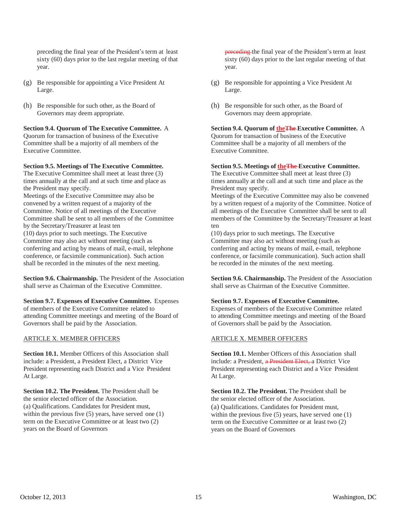preceding the final year of the President's term at least sixty (60) days prior to the last regular meeting of that year.

- (g) Be responsible for appointing a Vice President At Large.
- (h) Be responsible for such other, as the Board of Governors may deem appropriate.

# **Section 9.4. Quorum of The Executive Committee.** A

Quorum for transaction of business of the Executive Committee shall be a majority of all members of the Executive Committee.

# **Section 9.5. Meetings of The Executive Committee.**

The Executive Committee shall meet at least three (3) times annually at the call and at such time and place as the President may specify. Meetings of the Executive Committee may also be convened by a written request of a majority of the Committee. Notice of all meetings of the Executive Committee shall be sent to all members of the Committee by the Secretary/Treasurer at least ten (10) days prior to such meetings. The Executive Committee may also act without meeting (such as conferring and acting by means of mail, e-mail, telephone conference, or facsimile communication). Such action shall be recorded in the minutes of the next meeting.

**Section 9.6. Chairmanship.** The President of the Association shall serve as Chairman of the Executive Committee.

**Section 9.7. Expenses of Executive Committee.** Expenses of members of the Executive Committee related to attending Committee meetings and meeting of the Board of Governors shall be paid by the Association.

# ARTICLE X. MEMBER OFFICERS

**Section 10.1.** Member Officers of this Association shall include: a President, a President Elect, a District Vice President representing each District and a Vice President At Large.

**Section 10.2. The President.** The President shall be the senior elected officer of the Association. (a) Qualifications. Candidates for President must, within the previous five (5) years, have served one (1) term on the Executive Committee or at least two (2) years on the Board of Governors

preceding the final year of the President's term at least sixty (60) days prior to the last regular meeting of that year.

- (g) Be responsible for appointing a Vice President At Large.
- (h) Be responsible for such other, as the Board of Governors may deem appropriate.

**Section 9.4. Quorum of theThe Executive Committee.** A Quorum for transaction of business of the Executive Committee shall be a majority of all members of the Executive Committee.

# **Section 9.5. Meetings of theThe Executive Committee.**

The Executive Committee shall meet at least three (3) times annually at the call and at such time and place as the President may specify.

Meetings of the Executive Committee may also be convened by a written request of a majority of the Committee. Notice of all meetings of the Executive Committee shall be sent to all members of the Committee by the Secretary/Treasurer at least ten

(10) days prior to such meetings. The Executive Committee may also act without meeting (such as conferring and acting by means of mail, e-mail, telephone conference, or facsimile communication). Such action shall be recorded in the minutes of the next meeting.

**Section 9.6. Chairmanship.** The President of the Association shall serve as Chairman of the Executive Committee.

# **Section 9.7. Expenses of Executive Committee.**

Expenses of members of the Executive Committee related to attending Committee meetings and meeting of the Board of Governors shall be paid by the Association.

# ARTICLE X. MEMBER OFFICERS

**Section 10.1.** Member Officers of this Association shall include: a President, a President Elect, a District Vice President representing each District and a Vice President At Large.

**Section 10.2. The President.** The President shall be the senior elected officer of the Association. (a) Qualifications. Candidates for President must, within the previous five (5) years, have served one (1) term on the Executive Committee or at least two (2) years on the Board of Governors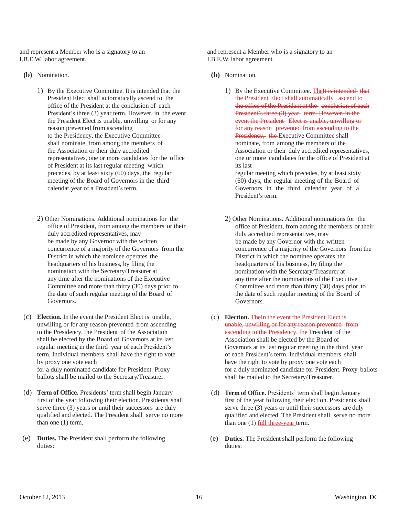and represent a Member who is a signatory to an I.B.E.W. labor agreement.

- **(b)** Nomination.
	- 1) By the Executive Committee. It is intended that the President Elect shall automatically ascend to the office of the President at the conclusion of each President's three (3) year term. However, in the event the President Elect is unable, unwilling or for any reason prevented from ascending to the Presidency, the Executive Committee shall nominate, from among the members of the Association or their duly accredited representatives, one or more candidates for the office of President at its last regular meeting which precedes, by at least sixty (60) days, the regular meeting of the Board of Governors in the third calendar year of a President's term.
	- 2) Other Nominations. Additional nominations for the office of President, from among the members or their duly accredited representatives, may be made by any Governor with the written concurrence of a majority of the Governors from the District in which the nominee operates the headquarters of his business, by filing the nomination with the Secretary/Treasurer at any time after the nominations of the Executive Committee and more than thirty (30) days prior to the date of such regular meeting of the Board of Governors.
- (c) **Election.** In the event the President Elect is unable, unwilling or for any reason prevented from ascending to the Presidency, the President of the Association shall be elected by the Board of Governors at its last regular meeting in the third year of each President's term. Individual members shall have the right to vote by proxy one vote each for a duly nominated candidate for President. Proxy ballots shall be mailed to the Secretary/Treasurer.
- (d) **Term of Office.** Presidents' term shall begin January first of the year following their election. Presidents shall serve three (3) years or until their successors are duly qualified and elected. The President shall serve no more than one (1) term.
- (e) **Duties.** The President shall perform the following duties:

and represent a Member who is a signatory to an I.B.E.W. labor agreement.

- **(b)** Nomination.
	- 1) By the Executive Committee. The It is intended that the President Elect shall automatically ascend to the office of the President at the conclusion of each President's three (3) year term. However, in the event the President Elect is unable, unwilling or for any reason prevented from ascending to the Presidency, the Executive Committee shall nominate, from among the members of the Association or their duly accredited representatives, one or more candidates for the office of President at its last

regular meeting which precedes, by at least sixty (60) days, the regular meeting of the Board of Governors in the third calendar year of a President's term.

- 2) Other Nominations. Additional nominations for the office of President, from among the members or their duly accredited representatives, may be made by any Governor with the written concurrence of a majority of the Governors from the District in which the nominee operates the headquarters of his business, by filing the nomination with the Secretary/Treasurer at any time after the nominations of the Executive Committee and more than thirty (30) days prior to the date of such regular meeting of the Board of Governors.
- (c) **Election.** TheIn the event the President Elect is unable, unwilling or for any reason prevented from ascending to the Presidency, the President of the Association shall be elected by the Board of Governors at its last regular meeting in the third year of each President's term. Individual members shall have the right to vote by proxy one vote each for a duly nominated candidate for President. Proxy ballots shall be mailed to the Secretary/Treasurer.
- (d) **Term of Office.** Presidents' term shall begin January first of the year following their election. Presidents shall serve three (3) years or until their successors are duly qualified and elected. The President shall serve no more than one  $(1)$  full three-year term.
- (e) **Duties.** The President shall perform the following duties: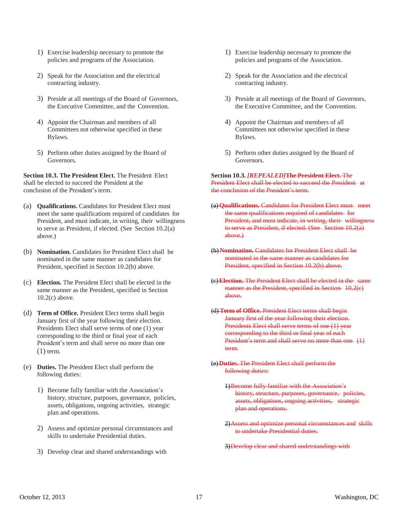- 1) Exercise leadership necessary to promote the policies and programs of the Association.
- 2) Speak for the Association and the electrical contracting industry.
- 3) Preside at all meetings of the Board of Governors, the Executive Committee, and the Convention.
- 4) Appoint the Chairman and members of all Committees not otherwise specified in these Bylaws.
- 5) Perform other duties assigned by the Board of Governors.

**Section 10.3. The President Elect.** The President Elect shall be elected to succeed the President at the conclusion of the President's term.

(a) **Qualifications.** Candidates for President Elect must meet the same qualifications required of candidates for President, and must indicate, in writing, their willingness to serve as President, if elected. (See Section 10.2(a) above.)

(b) **Nomination.** Candidates for President Elect shall be nominated in the same manner as candidates for President, specified in Section 10.2(b) above.

- (c) **Election.** The President Elect shall be elected in the same manner as the President, specified in Section 10.2(c) above.
- (d) **Term of Office.** President Elect terms shall begin January first of the year following their election. Presidents Elect shall serve terms of one (1) year corresponding to the third or final year of each President's term and shall serve no more than one (1) term.
- (e) **Duties.** The President Elect shall perform the following duties:
	- 1) Become fully familiar with the Association's history, structure, purposes, governance, policies, assets, obligations, ongoing activities, strategic plan and operations.
	- 2) Assess and optimize personal circumstances and skills to undertake Presidential duties.
	- 3) Develop clear and shared understandings with
- 1) Exercise leadership necessary to promote the policies and programs of the Association.
- 2) Speak for the Association and the electrical contracting industry.
- 3) Preside at all meetings of the Board of Governors, the Executive Committee, and the Convention.
- 4) Appoint the Chairman and members of all Committees not otherwise specified in these Bylaws.
- 5) Perform other duties assigned by the Board of Governors.

**Section 10.3.** *[REPEALED]***The President Elect.** The President Elect shall be elected to succeed the President at the conclusion of the President's term.

- (a)**Qualifications.** Candidates for President Elect must meet the same qualifications required of candidates for President, and must indicate, in writing, their willingness to serve as President, if elected. (See Section 10.2(a) above.)
- (b) **Nomination.** Candidates for President Elect shall be nominated in the same manner as candidates for President, specified in Section 10.2(b) above.
- (c)**Election.** The President Elect shall be elected in the same manner as the President, specified in Section 10.2(e) above.
- (d) **Term of Office.** President Elect terms shall begin January first of the year following their election. Presidents Elect shall serve terms of one (1) year corresponding to the third or final year of each President's term and shall serve no more than one (1) term.
- (e)**Duties.** The President Elect shall perform the following duties:
	- 1)Become fully familiar with the Association's history, structure, purposes, governance, policies, assets, obligations, ongoing activities, strategic plan and operations.
	- 2)Assess and optimize personal circumstances and skills to undertake Presidential duties.
	- 3)Develop clear and shared understandings with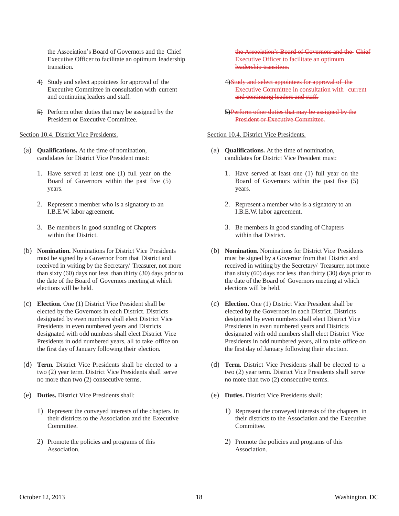the Association's Board of Governors and the Chief Executive Officer to facilitate an optimum leadership transition.

- 4) Study and select appointees for approval of the Executive Committee in consultation with current and continuing leaders and staff.
- 5) Perform other duties that may be assigned by the President or Executive Committee.

Section 10.4. District Vice Presidents.

- (a) **Qualifications.** At the time of nomination, candidates for District Vice President must:
	- 1. Have served at least one (1) full year on the Board of Governors within the past five (5) years.
	- 2. Represent a member who is a signatory to an I.B.E.W. labor agreement.
	- 3. Be members in good standing of Chapters within that District.
- (b) **Nomination.** Nominations for District Vice Presidents must be signed by a Governor from that District and received in writing by the Secretary/ Treasurer, not more than sixty (60) days nor less than thirty (30) days prior to the date of the Board of Governors meeting at which elections will be held.
- (c) **Election.** One (1) District Vice President shall be elected by the Governors in each District. Districts designated by even numbers shall elect District Vice Presidents in even numbered years and Districts designated with odd numbers shall elect District Vice Presidents in odd numbered years, all to take office on the first day of January following their election.
- (d) **Term.** District Vice Presidents shall be elected to a two (2) year term. District Vice Presidents shall serve no more than two (2) consecutive terms.
- (e) **Duties.** District Vice Presidents shall:
	- 1) Represent the conveyed interests of the chapters in their districts to the Association and the Executive Committee.
	- 2) Promote the policies and programs of this Association.

the Association's Board of Governors and the Chief Executive Officer to facilitate an optimum leadership transition.

- 4) Study and select appointees for approval of the Executive Committee in consultation with current and continuing leaders and staff.
- 5)Perform other duties that may be assigned by the President or Executive Committee.

# Section 10.4. District Vice Presidents.

- (a) **Qualifications.** At the time of nomination, candidates for District Vice President must:
	- 1. Have served at least one (1) full year on the Board of Governors within the past five (5) years.
	- 2. Represent a member who is a signatory to an I.B.E.W. labor agreement.
	- 3. Be members in good standing of Chapters within that District.
- (b) **Nomination.** Nominations for District Vice Presidents must be signed by a Governor from that District and received in writing by the Secretary/ Treasurer, not more than sixty (60) days nor less than thirty (30) days prior to the date of the Board of Governors meeting at which elections will be held.
- (c) **Election.** One (1) District Vice President shall be elected by the Governors in each District. Districts designated by even numbers shall elect District Vice Presidents in even numbered years and Districts designated with odd numbers shall elect District Vice Presidents in odd numbered years, all to take office on the first day of January following their election.
- (d) **Term.** District Vice Presidents shall be elected to a two (2) year term. District Vice Presidents shall serve no more than two (2) consecutive terms.
- (e) **Duties.** District Vice Presidents shall:
	- 1) Represent the conveyed interests of the chapters in their districts to the Association and the Executive Committee.
	- 2) Promote the policies and programs of this Association.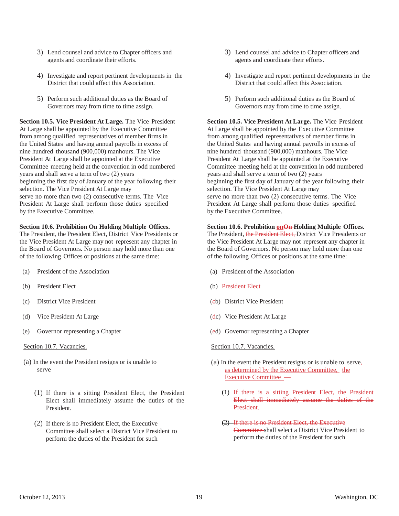- 3) Lend counsel and advice to Chapter officers and agents and coordinate their efforts.
- 4) Investigate and report pertinent developments in the District that could affect this Association.
- 5) Perform such additional duties as the Board of Governors may from time to time assign.

**Section 10.5. Vice President At Large.** The Vice President At Large shall be appointed by the Executive Committee from among qualified representatives of member firms in the United States and having annual payrolls in excess of nine hundred thousand (900,000) manhours. The Vice President At Large shall be appointed at the Executive Committee meeting held at the convention in odd numbered years and shall serve a term of two (2) years beginning the first day of January of the year following their selection. The Vice President At Large may serve no more than two (2) consecutive terms. The Vice President At Large shall perform those duties specified by the Executive Committee.

#### **Section 10.6. Prohibition On Holding Multiple Offices.**

The President, the President Elect, District Vice Presidents or the Vice President At Large may not represent any chapter in the Board of Governors. No person may hold more than one of the following Offices or positions at the same time:

- (a) President of the Association
- (b) President Elect
- (c) District Vice President
- (d) Vice President At Large
- (e) Governor representing a Chapter

#### Section 10.7. Vacancies.

- (a) In the event the President resigns or is unable to serve —
	- (1) If there is a sitting President Elect, the President Elect shall immediately assume the duties of the President.
	- (2) If there is no President Elect, the Executive Committee shall select a District Vice President to perform the duties of the President for such
- 3) Lend counsel and advice to Chapter officers and agents and coordinate their efforts.
- 4) Investigate and report pertinent developments in the District that could affect this Association.
- 5) Perform such additional duties as the Board of Governors may from time to time assign.

**Section 10.5. Vice President At Large.** The Vice President At Large shall be appointed by the Executive Committee from among qualified representatives of member firms in the United States and having annual payrolls in excess of nine hundred thousand (900,000) manhours. The Vice President At Large shall be appointed at the Executive Committee meeting held at the convention in odd numbered years and shall serve a term of two (2) years beginning the first day of January of the year following their selection. The Vice President At Large may serve no more than two (2) consecutive terms. The Vice President At Large shall perform those duties specified by the Executive Committee.

# **Section 10.6. Prohibition onOn Holding Multiple Offices.** The President, the President Elect, District Vice Presidents or

the Vice President At Large may not represent any chapter in the Board of Governors. No person may hold more than one of the following Offices or positions at the same time:

- (a) President of the Association
- (b) President Elect
- (cb) District Vice President
- (dc) Vice President At Large
- (ed) Governor representing a Chapter

#### Section 10.7. Vacancies.

- (a) In the event the President resigns or is unable to serve, as determined by the Executive Committee, the Executive Committee —
	- (1) If there is a sitting President Elect, the President Elect shall immediately assume the duties of the President.
	- (2) If there is no President Elect, the Executive Committee shall select a District Vice President to perform the duties of the President for such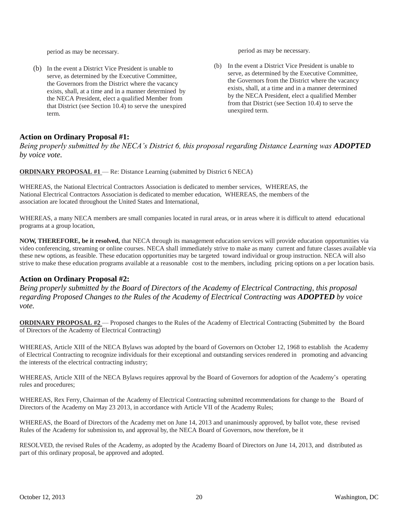period as may be necessary.

(b) In the event a District Vice President is unable to serve, as determined by the Executive Committee, the Governors from the District where the vacancy exists, shall, at a time and in a manner determined by the NECA President, elect a qualified Member from that District (see Section 10.4) to serve the unexpired term.

period as may be necessary.

(b) In the event a District Vice President is unable to serve, as determined by the Executive Committee, the Governors from the District where the vacancy exists, shall, at a time and in a manner determined by the NECA President, elect a qualified Member from that District (see Section 10.4) to serve the unexpired term.

# **Action on Ordinary Proposal #1:**

*Being properly submitted by the NECA's District 6, this proposal regarding Distance Learning was <i>ADOPTED by voice vote.*

**ORDINARY PROPOSAL #1** — Re: Distance Learning (submitted by District 6 NECA)

WHEREAS, the National Electrical Contractors Association is dedicated to member services, WHEREAS, the National Electrical Contractors Association is dedicated to member education, WHEREAS, the members of the association are located throughout the United States and International,

WHEREAS, a many NECA members are small companies located in rural areas, or in areas where it is difficult to attend educational programs at a group location,

**NOW, THEREFORE, be it resolved,** that NECA through its management education services will provide education opportunities via video conferencing, streaming or online courses. NECA shall immediately strive to make as many current and future classes available via these new options, as feasible. These education opportunities may be targeted toward individual or group instruction. NECA will also strive to make these education programs available at a reasonable cost to the members, including pricing options on a per location basis.

# **Action on Ordinary Proposal #2:**

*Being properly submitted by the Board of Directors of the Academy of Electrical Contracting, this proposal regarding Proposed Changes to the Rules of the Academy of Electrical Contracting was ADOPTED by voice vote.*

**ORDINARY PROPOSAL #2** — Proposed changes to the Rules of the Academy of Electrical Contracting (Submitted by the Board of Directors of the Academy of Electrical Contracting)

WHEREAS, Article XIII of the NECA Bylaws was adopted by the board of Governors on October 12, 1968 to establish the Academy of Electrical Contracting to recognize individuals for their exceptional and outstanding services rendered in promoting and advancing the interests of the electrical contracting industry;

WHEREAS, Article XIII of the NECA Bylaws requires approval by the Board of Governors for adoption of the Academy's operating rules and procedures;

WHEREAS, Rex Ferry, Chairman of the Academy of Electrical Contracting submitted recommendations for change to the Board of Directors of the Academy on May 23 2013, in accordance with Article VII of the Academy Rules;

WHEREAS, the Board of Directors of the Academy met on June 14, 2013 and unanimously approved, by ballot vote, these revised Rules of the Academy for submission to, and approval by, the NECA Board of Governors, now therefore, be it

RESOLVED, the revised Rules of the Academy, as adopted by the Academy Board of Directors on June 14, 2013, and distributed as part of this ordinary proposal, be approved and adopted.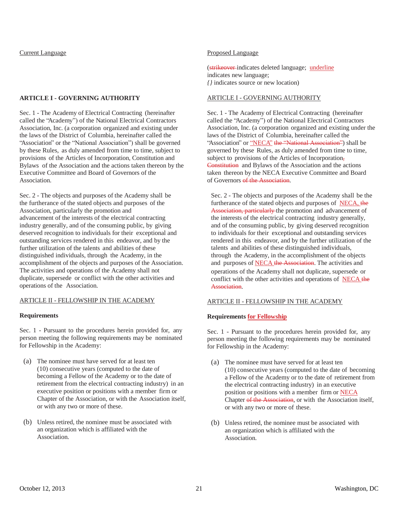# Current Language

## **ARTICLE I - GOVERNING AUTHORITY**

Sec. 1 - The Academy of Electrical Contracting (hereinafter called the "Academy") of the National Electrical Contractors Association, Inc. (a corporation organized and existing under the laws of the District of Columbia, hereinafter called the "Association" or the "National Association") shall be governed by these Rules, as duly amended from time to time, subject to provisions of the Articles of Incorporation, Constitution and Bylaws of the Association and the actions taken thereon by the Executive Committee and Board of Governors of the Association.

Sec. 2 - The objects and purposes of the Academy shall be the furtherance of the stated objects and purposes of the Association, particularly the promotion and advancement of the interests of the electrical contracting industry generally, and of the consuming public, by giving deserved recognition to individuals for their exceptional and outstanding services rendered in this endeavor, and by the further utilization of the talents and abilities of these distinguished individuals, through the Academy, in the accomplishment of the objects and purposes of the Association. The activities and operations of the Academy shall not duplicate, supersede or conflict with the other activities and operations of the Association.

# ARTICLE II - FELLOWSHIP IN THE ACADEMY

#### **Requirements**

Sec. 1 - Pursuant to the procedures herein provided for, any person meeting the following requirements may be nominated for Fellowship in the Academy:

- (a) The nominee must have served for at least ten (10) consecutive years (computed to the date of becoming a Fellow of the Academy or to the date of retirement from the electrical contracting industry) in an executive position or positions with a member firm or Chapter of the Association, or with the Association itself, or with any two or more of these.
- (b) Unless retired, the nominee must be associated with an organization which is affiliated with the Association.

#### Proposed Language

(strikeover indicates deleted language; underline indicates new language; *{}* indicates source or new location)

## ARTICLE I - GOVERNING AUTHORITY

Sec. 1 - The Academy of Electrical Contracting (hereinafter called the "Academy") of the National Electrical Contractors Association, Inc. (a corporation organized and existing under the laws of the District of Columbia, hereinafter called the "Association" or "NECA" the "National Association") shall be governed by these Rules, as duly amended from time to time, subject to provisions of the Articles of Incorporation, Constitution and Bylaws of the Association and the actions taken thereon by the NECA Executive Committee and Board of Governors of the Association.

Sec. 2 - The objects and purposes of the Academy shall be the furtherance of the stated objects and purposes of NECA, the Association, particularly the promotion and advancement of the interests of the electrical contracting industry generally, and of the consuming public, by giving deserved recognition to individuals for their exceptional and outstanding services rendered in this endeavor, and by the further utilization of the talents and abilities of these distinguished individuals, through the Academy, in the accomplishment of the objects and purposes of NECA the Association. The activities and operations of the Academy shall not duplicate, supersede or conflict with the other activities and operations of NECA the Association.

# ARTICLE II - FELLOWSHIP IN THE ACADEMY

#### **Requirements for Fellowship**

Sec. 1 - Pursuant to the procedures herein provided for, any person meeting the following requirements may be nominated for Fellowship in the Academy:

- (a) The nominee must have served for at least ten (10) consecutive years (computed to the date of becoming a Fellow of the Academy or to the date of retirement from the electrical contracting industry) in an executive position or positions with a member firm or NECA Chapter of the Association, or with the Association itself, or with any two or more of these.
- (b) Unless retired, the nominee must be associated with an organization which is affiliated with the Association.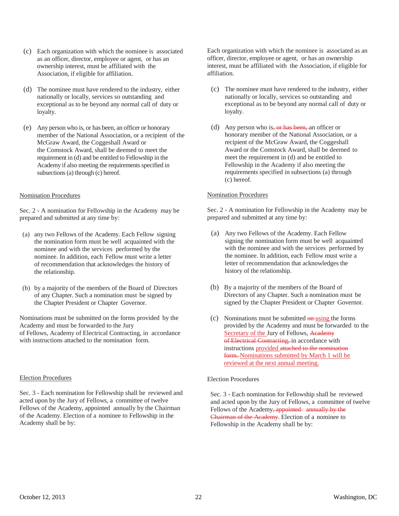- (c) Each organization with which the nominee is associated as an officer, director, employee or agent, or has an ownership interest, must be affiliated with the Association, if eligible for affiliation.
- (d) The nominee must have rendered to the industry, either nationally or locally, services so outstanding and exceptional as to be beyond any normal call of duty or loyalty.
- (e) Any person who is, or has been, an officer or honorary member of the National Association, or a recipient of the McGraw Award, the Coggeshall Award or the Comstock Award, shall be deemed to meet the requirement in (d) and be entitled to Fellowship in the Academy if also meeting the requirements specified in subsections (a) through (c) hereof.

## Nomination Procedures

Sec. 2 - A nomination for Fellowship in the Academy may be prepared and submitted at any time by:

- (a) any two Fellows of the Academy. Each Fellow signing the nomination form must be well acquainted with the nominee and with the services performed by the nominee. In addition, each Fellow must write a letter of recommendation that acknowledges the history of the relationship.
- (b) by a majority of the members of the Board of Directors of any Chapter. Such a nomination must be signed by the Chapter President or Chapter Governor.

Nominations must be submitted on the forms provided by the Academy and must be forwarded to the Jury of Fellows, Academy of Electrical Contracting, in accordance with instructions attached to the nomination form.

#### Election Procedures

Sec. 3 - Each nomination for Fellowship shall be reviewed and acted upon by the Jury of Fellows, a committee of twelve Fellows of the Academy, appointed annually by the Chairman of the Academy. Election of a nominee to Fellowship in the Academy shall be by:

Each organization with which the nominee is associated as an officer, director, employee or agent, or has an ownership interest, must be affiliated with the Association, if eligible for affiliation.

- (c) The nominee must have rendered to the industry, either nationally or locally, services so outstanding and exceptional as to be beyond any normal call of duty or loyalty.
- (d) Any person who is, or has been, an officer or honorary member of the National Association, or a recipient of the McGraw Award, the Coggeshall Award or the Comstock Award, shall be deemed to meet the requirement in (d) and be entitled to Fellowship in the Academy if also meeting the requirements specified in subsections (a) through (c) hereof.

#### Nomination Procedures

Sec. 2 - A nomination for Fellowship in the Academy may be prepared and submitted at any time by:

- (a) Any two Fellows of the Academy. Each Fellow signing the nomination form must be well acquainted with the nominee and with the services performed by the nominee. In addition, each Fellow must write a letter of recommendation that acknowledges the history of the relationship.
- (b) By a majority of the members of the Board of Directors of any Chapter. Such a nomination must be signed by the Chapter President or Chapter Governor.
- (c) Nominations must be submitted  $\theta$ -using the forms provided by the Academy and must be forwarded to the Secretary of the Jury of Fellows, Academy of Electrical Contracting, in accordance with instructions provided attached to the nomination form. Nominations submitted by March 1 will be reviewed at the next annual meeting.

#### Election Procedures

Sec. 3 - Each nomination for Fellowship shall be reviewed and acted upon by the Jury of Fellows, a committee of twelve Fellows of the Academy, appointed annually by the Chairman of the Academy. Election of a nominee to Fellowship in the Academy shall be by: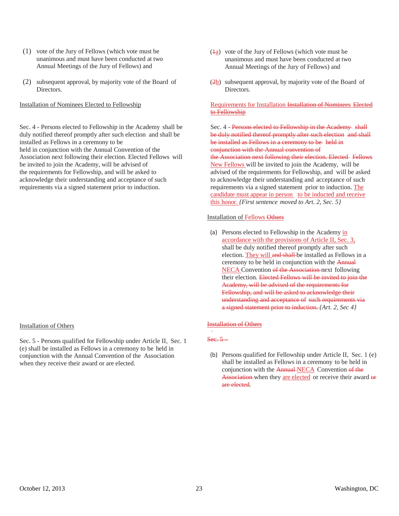- (1) vote of the Jury of Fellows (which vote must be unanimous and must have been conducted at two Annual Meetings of the Jury of Fellows) and
- (2) subsequent approval, by majority vote of the Board of Directors.

Installation of Nominees Elected to Fellowship

Sec. 4 - Persons elected to Fellowship in the Academy shall be duly notified thereof promptly after such election and shall be installed as Fellows in a ceremony to be held in conjunction with the Annual Convention of the Association next following their election. Elected Fellows will be invited to join the Academy, will be advised of the requirements for Fellowship, and will be asked to acknowledge their understanding and acceptance of such requirements via a signed statement prior to induction.

# Installation of Others

Sec. 5 - Persons qualified for Fellowship under Article II, Sec. 1 (e) shall be installed as Fellows in a ceremony to be held in conjunction with the Annual Convention of the Association when they receive their award or are elected.

- (1a) vote of the Jury of Fellows (which vote must be unanimous and must have been conducted at two Annual Meetings of the Jury of Fellows) and
- (2b) subsequent approval, by majority vote of the Board of Directors.

# Requirements for Installation Installation of Nominees Elected to Fellowship

Sec. 4 - Persons elected to Fellowship in the Academy shall be duly notified thereof promptly after such election and shall be installed as Fellows in a ceremony to be held in conjunction with the Annual convention of

the Association next following their election. Elected Fellows New Fellows will be invited to join the Academy, will be advised of the requirements for Fellowship, and will be asked to acknowledge their understanding and acceptance of such requirements via a signed statement prior to induction. The candidate must appear in person to be inducted and receive this honor. *{First sentence moved to Art. 2, Sec. 5}*

#### Installation of Fellows Others

(a) Persons elected to Fellowship in the Academy in accordance with the provisions of Article II, Sec. 3, shall be duly notified thereof promptly after such election. They will and shall be installed as Fellows in a ceremony to be held in conjunction with the Annual NECA Convention of the Association next following their election. Elected Fellows will be invited to join the Academy, will be advised of the requirements for Fellowship, and will be asked to acknowledge their understanding and acceptance of such requirements via a signed statement prior to induction. *{Art. 2, Sec 4}*

# Installation of Others

Sec. 5-

(b) Persons qualified for Fellowship under Article II, Sec. 1 (e) shall be installed as Fellows in a ceremony to be held in conjunction with the Annual-NECA Convention of the Association when they are elected or receive their award or are elected.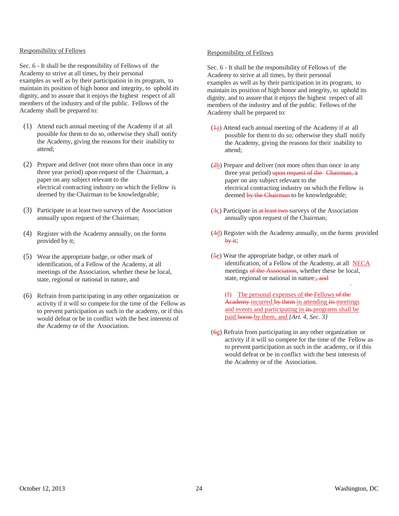#### Responsibility of Fellows

Sec. 6 - It shall be the responsibility of Fellows of the Academy to strive at all times, by their personal examples as well as by their participation in its program, to maintain its position of high honor and integrity, to uphold its dignity, and to assure that it enjoys the highest respect of all members of the industry and of the public. Fellows of the Academy shall be prepared to:

- (1) Attend each annual meeting of the Academy if at all possible for them to do so, otherwise they shall notify the Academy, giving the reasons for their inability to attend;
- (2) Prepare and deliver (not more often than once in any three year period) upon request of the Chairman, a paper on any subject relevant to the electrical contracting industry on which the Fellow is deemed by the Chairman to be knowledgeable;
- (3) Participate in at least two surveys of the Association annually upon request of the Chairman;
- (4) Register with the Academy annually, on the forms provided by it;
- (5) Wear the appropriate badge, or other mark of identification, of a Fellow of the Academy, at all meetings of the Association, whether these be local, state, regional or national in nature, and
- (6) Refrain from participating in any other organization or activity if it will so compete for the time of the Fellow as to prevent participation as such in the academy, or if this would defeat or be in conflict with the best interests of the Academy or of the Association.

## Responsibility of Fellows

Sec. 6 - It shall be the responsibility of Fellows of the Academy to strive at all times, by their personal examples as well as by their participation in its program, to maintain its position of high honor and integrity, to uphold its dignity, and to assure that it enjoys the highest respect of all members of the industry and of the public. Fellows of the Academy shall be prepared to:

- $(4a)$  Attend each annual meeting of the Academy if at all possible for them to do so; otherwise they shall notify the Academy, giving the reasons for their inability to attend;
- (2b) Prepare and deliver (not more often than once in any three year period) upon request of the Chairman, a paper on any subject relevant to the electrical contracting industry on which the Fellow is deemed by the Chairman to be knowledgeable;
- (3c) Participate in at least two-surveys of the Association annually upon request of the Chairman;
- (4d) Register with the Academy annually, on the forms provided  $by$  it;
- (5e) Wear the appropriate badge, or other mark of identification, of a Fellow of the Academy, at all NECA meetings of the Association, whether these be local, state, regional or national in nature;, and

(f) The personal expenses of the Fellows of the Academy incurred by them in attending its meetings and events and participating in its programs shall be paid borne by them, and *{Art. 4, Sec. 3}*

 $(6g)$  Refrain from participating in any other organization or activity if it will so compete for the time of the Fellow as to prevent participation as such in the academy, or if this would defeat or be in conflict with the best interests of the Academy or of the Association.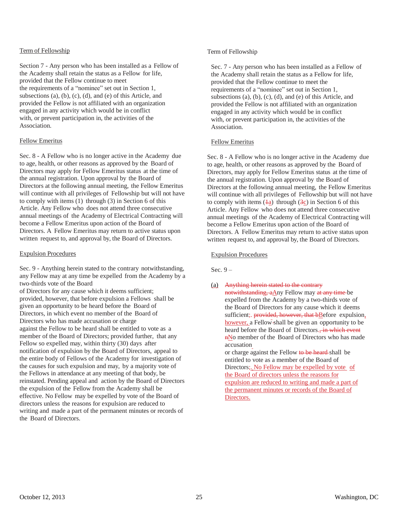## Term of Fellowship

Section 7 - Any person who has been installed as a Fellow of the Academy shall retain the status as a Fellow for life, provided that the Fellow continue to meet the requirements of a "nominee" set out in Section 1, subsections (a), (b), (c), (d), and (e) of this Article, and provided the Fellow is not affiliated with an organization engaged in any activity which would be in conflict with, or prevent participation in, the activities of the Association.

# Fellow Emeritus

Sec. 8 - A Fellow who is no longer active in the Academy due to age, health, or other reasons as approved by the Board of Directors may apply for Fellow Emeritus status at the time of the annual registration. Upon approval by the Board of Directors at the following annual meeting, the Fellow Emeritus will continue with all privileges of Fellowship but will not have to comply with items (1) through (3) in Section 6 of this Article. Any Fellow who does not attend three consecutive annual meetings of the Academy of Electrical Contracting will become a Fellow Emeritus upon action of the Board of Directors. A Fellow Emeritus may return to active status upon written request to, and approval by, the Board of Directors.

## Expulsion Procedures

Sec. 9 - Anything herein stated to the contrary notwithstanding, any Fellow may at any time be expelled from the Academy by a two-thirds vote of the Board of Directors for any cause which it deems sufficient; provided, however, that before expulsion a Fellows shall be given an opportunity to be heard before the Board of Directors, in which event no member of the Board of Directors who has made accusation or charge against the Fellow to be heard shall be entitled to vote as a member of the Board of Directors; provided further, that any Fellow so expelled may, within thirty (30) days after notification of expulsion by the Board of Directors, appeal to the entire body of Fellows of the Academy for investigation of the causes for such expulsion and may, by a majority vote of the Fellows in attendance at any meeting of that body, be reinstated. Pending appeal and action by the Board of Directors the expulsion of the Fellow from the Academy shall be effective. No Fellow may be expelled by vote of the Board of directors unless the reasons for expulsion are reduced to writing and made a part of the permanent minutes or records of the Board of Directors.

# Term of Fellowship

Sec. 7 - Any person who has been installed as a Fellow of the Academy shall retain the status as a Fellow for life, provided that the Fellow continue to meet the requirements of a "nominee" set out in Section 1, subsections (a), (b), (c), (d), and (e) of this Article, and provided the Fellow is not affiliated with an organization engaged in any activity which would be in conflict with, or prevent participation in, the activities of the Association.

# Fellow Emeritus

Sec. 8 - A Fellow who is no longer active in the Academy due to age, health, or other reasons as approved by the Board of Directors, may apply for Fellow Emeritus status at the time of the annual registration. Upon approval by the Board of Directors at the following annual meeting, the Fellow Emeritus will continue with all privileges of Fellowship but will not have to comply with items  $(4a)$  through  $(3c)$  in Section 6 of this Article. Any Fellow who does not attend three consecutive annual meetings of the Academy of Electrical Contracting will become a Fellow Emeritus upon action of the Board of Directors. A Fellow Emeritus may return to active status upon written request to, and approval by, the Board of Directors.

# Expulsion Procedures

Sec.  $9-$ 

(a) Anything herein stated to the contrary

notwithstanding, aAny Fellow may at any time be expelled from the Academy by a two-thirds vote of the Board of Directors for any cause which it deems sufficient; provided, however, that bBefore expulsion, however, a Fellow shall be given an opportunity to be heard before the Board of Directors. in which event nNo member of the Board of Directors who has made accusation

or charge against the Fellow to be heard-shall be entitled to vote as a member of the Board of Directors;. No Fellow may be expelled by vote of the Board of directors unless the reasons for expulsion are reduced to writing and made a part of the permanent minutes or records of the Board of Directors.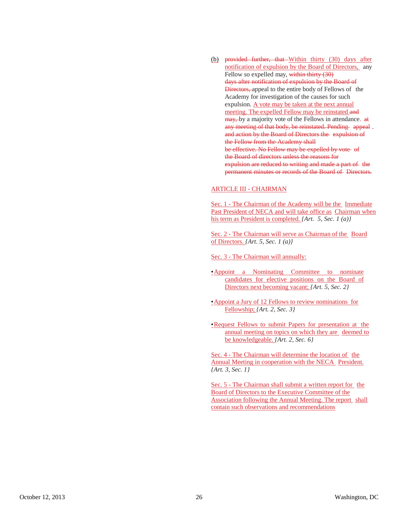(b) provided further, that Within thirty  $(30)$  days after notification of expulsion by the Board of Directors, any Fellow so expelled may, within thirty (30) days after notification of expulsion by the Board of Directors, appeal to the entire body of Fellows of the Academy for investigation of the causes for such expulsion. A vote may be taken at the next annual meeting. The expelled Fellow may be reinstated and may, by a majority vote of the Fellows in attendance. at any meeting of that body, be reinstated. Pending appeal . and action by the Board of Directors the expulsion of the Fellow from the Academy shall be effective. No Fellow may be expelled by vote of the Board of directors unless the reasons for expulsion are reduced to writing and made a part of the permanent minutes or records of the Board of Directors.

## ARTICLE III - CHAIRMAN

Sec. 1 - The Chairman of the Academy will be the Immediate Past President of NECA and will take office as Chairman when his term as President is completed. *{Art. 5, Sec. 1 (a)}*

Sec. 2 - The Chairman will serve as Chairman of the Board of Directors. *{Art. 5, Sec. 1 (a)}*

Sec. 3 - The Chairman will annually:

- •Appoint a Nominating Committee to nominate candidates for elective positions on the Board of Directors next becoming vacant; *{Art. 5, Sec. 2}*
- •Appoint a Jury of 12 Fellows to review nominations for Fellowship; *{Art. 2, Sec. 3}*
- •Request Fellows to submit Papers for presentation at the annual meeting on topics on which they are deemed to be knowledgeable. *{Art. 2, Sec. 6}*

Sec. 4 - The Chairman will determine the location of the Annual Meeting in cooperation with the NECA President. *{Art. 3, Sec. 1}*

Sec. 5 - The Chairman shall submit a written report for the Board of Directors to the Executive Committee of the Association following the Annual Meeting. The report shall contain such observations and recommendations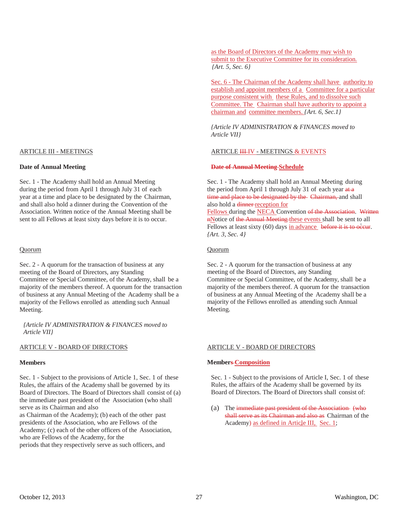#### ARTICLE III - MEETINGS

## **Date of Annual Meeting**

Sec. 1 - The Academy shall hold an Annual Meeting during the period from April 1 through July 31 of each year at a time and place to be designated by the Chairman, and shall also hold a dinner during the Convention of the Association. Written notice of the Annual Meeting shall be sent to all Fellows at least sixty days before it is to occur.

#### Quorum

Sec. 2 - A quorum for the transaction of business at any meeting of the Board of Directors, any Standing Committee or Special Committee, of the Academy, shall be a majority of the members thereof. A quorum for the transaction of business at any Annual Meeting of the Academy shall be a majority of the Fellows enrolled as attending such Annual Meeting.

*{Article IV ADMINISTRATION & FINANCES moved to Article VII}*

# ARTICLE V - BOARD OF DIRECTORS

#### **Members**

Sec. 1 - Subject to the provisions of Article 1, Sec. 1 of these Rules, the affairs of the Academy shall be governed by its Board of Directors. The Board of Directors shall consist of (a) the immediate past president of the Association (who shall serve as its Chairman and also

as Chairman of the Academy); (b) each of the other past presidents of the Association, who are Fellows of the Academy; (c) each of the other officers of the Association, who are Fellows of the Academy, for the periods that they respectively serve as such officers, and

as the Board of Directors of the Academy may wish to submit to the Executive Committee for its consideration. *{Art. 5, Sec. 6}*

Sec. 6 - The Chairman of the Academy shall have authority to establish and appoint members of a Committee for a particular purpose consistent with these Rules, and to dissolve such Committee. The Chairman shall have authority to appoint a chairman and committee members. *{Art. 6, Sec.1}*

*{Article IV ADMINISTRATION & FINANCES moved to Article VII}*

## ARTICLE **III-IV** - MEETINGS & EVENTS

## **Date of Annual Meeting Schedule**

Sec. 1 - The Academy shall hold an Annual Meeting during the period from April 1 through July 31 of each year at a time and place to be designated by the Chairman, and shall also hold a dinner reception for Fellows during the NECA Convention of the Association. Written

nNotice of the Annual Meeting these events shall be sent to all Fellows at least sixty (60) days in advance before it is to occur. *{Art. 3, Sec. 4}*

#### Quorum

Sec. 2 - A quorum for the transaction of business at any meeting of the Board of Directors, any Standing Committee or Special Committee, of the Academy, shall be a majority of the members thereof. A quorum for the transaction of business at any Annual Meeting of the Academy shall be a majority of the Fellows enrolled as attending such Annual Meeting.

#### ARTICLE V - BOARD OF DIRECTORS

#### **Members Composition**

Sec. 1 - Subject to the provisions of Article I, Sec. 1 of these Rules, the affairs of the Academy shall be governed by its Board of Directors. The Board of Directors shall consist of:

(a) The immediate past president of the Association (who shall serve as its Chairman and also as Chairman of the Academy) as defined in Article III, Sec. 1;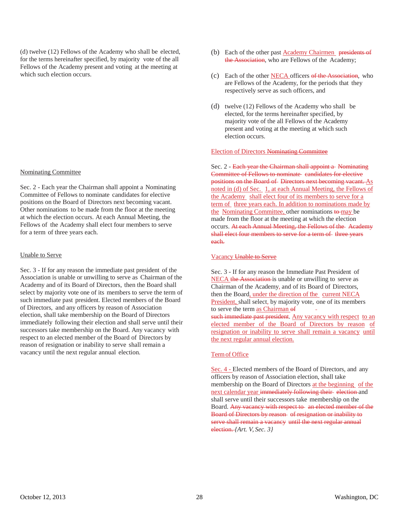(d) twelve (12) Fellows of the Academy who shall be elected, for the terms hereinafter specified, by majority vote of the all Fellows of the Academy present and voting at the meeting at which such election occurs.

#### Nominating Committee

Sec. 2 - Each year the Chairman shall appoint a Nominating Committee of Fellows to nominate candidates for elective positions on the Board of Directors next becoming vacant. Other nominations to be made from the floor at the meeting at which the election occurs. At each Annual Meeting, the Fellows of the Academy shall elect four members to serve for a term of three years each.

## Unable to Serve

Sec. 3 - If for any reason the immediate past president of the Association is unable or unwilling to serve as Chairman of the Academy and of its Board of Directors, then the Board shall select by majority vote one of its members to serve the term of such immediate past president. Elected members of the Board of Directors, and any officers by reason of Association election, shall take membership on the Board of Directors immediately following their election and shall serve until their successors take membership on the Board. Any vacancy with respect to an elected member of the Board of Directors by reason of resignation or inability to serve shall remain a vacancy until the next regular annual election.

- (b) Each of the other past **Academy Chairmen** presidents of the Association, who are Fellows of the Academy;
- (c) Each of the other NECA officers of the Association, who are Fellows of the Academy, for the periods that they respectively serve as such officers, and
- (d) twelve (12) Fellows of the Academy who shall be elected, for the terms hereinafter specified, by majority vote of the all Fellows of the Academy present and voting at the meeting at which such election occurs.

## Election of Directors Nominating Committee

Sec. 2 - Each year the Chairman shall appoint a Nominating Committee of Fellows to nominate candidates for elective positions on the Board of Directors next becoming vacant. As noted in (d) of Sec. 1, at each Annual Meeting, the Fellows of the Academy shall elect four of its members to serve for a term of three years each. In addition to nominations made by the Nominating Committee, other nominations to may be made from the floor at the meeting at which the election occurs. At each Annual Meeting, the Fellows of the Academy shall elect four members to serve for a term of three years each.

#### Vacancy Unable to Serve

Sec. 3 - If for any reason the Immediate Past President of NECA the Association is unable or unwilling to serve as Chairman of the Academy, and of its Board of Directors, then the Board, under the direction of the current NECA President, shall select, by majority vote, one of its members to serve the term as Chairman of such immediate past president. Any vacancy with respect to an elected member of the Board of Directors by reason of resignation or inability to serve shall remain a vacancy until the next regular annual election.

#### Termof Office

Sec. 4 - Elected members of the Board of Directors, and any officers by reason of Association election, shall take membership on the Board of Directors at the beginning of the next calendar year immediately following their election and shall serve until their successors take membership on the Board. Any vacancy with respect to an elected member of the Board of Directors by reason of resignation or inability to serve shall remain a vacancy until the next regular annual election. *{Art. V, Sec. 3}*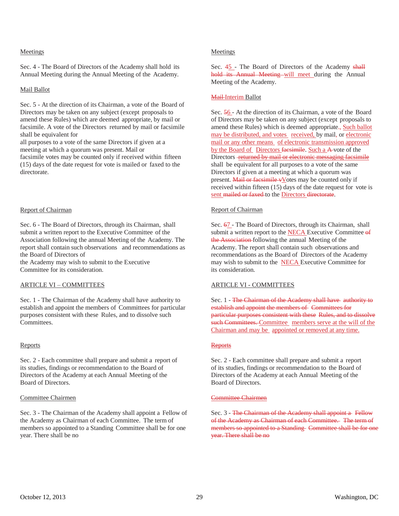## Meetings

Sec. 4 - The Board of Directors of the Academy shall hold its Annual Meeting during the Annual Meeting of the Academy.

## Mail Ballot

Sec. 5 - At the direction of its Chairman, a vote of the Board of Directors may be taken on any subject (except proposals to amend these Rules) which are deemed appropriate, by mail or facsimile. A vote of the Directors returned by mail or facsimile shall be equivalent for

all purposes to a vote of the same Directors if given at a meeting at which a quorum was present. Mail or

facsimile votes may be counted only if received within fifteen (15) days of the date request for vote is mailed or faxed to the directorate.

## Report of Chairman

Sec. 6 - The Board of Directors, through its Chairman, shall submit a written report to the Executive Committee of the Association following the annual Meeting of the Academy. The report shall contain such observations and recommendations as the Board of Directors of

the Academy may wish to submit to the Executive Committee for its consideration.

# ARTICLE VI – COMMITTEES

Sec. 1 - The Chairman of the Academy shall have authority to establish and appoint the members of Committees for particular purposes consistent with these Rules, and to dissolve such Committees.

#### Reports

Sec. 2 - Each committee shall prepare and submit a report of its studies, findings or recommendation to the Board of Directors of the Academy at each Annual Meeting of the Board of Directors.

## Committee Chairmen

Sec. 3 - The Chairman of the Academy shall appoint a Fellow of the Academy as Chairman of each Committee. The term of members so appointed to a Standing Committee shall be for one year. There shall be no

## Meetings

Sec.  $45$  - The Board of Directors of the Academy shall hold its Annual Meeting will meet during the Annual Meeting of the Academy.

## Mail-Interim Ballot

Sec. 56 - At the direction of its Chairman, a vote of the Board of Directors may be taken on any subject (except proposals to amend these Rules) which is deemed appropriate., Such ballot may be distributed, and votes received, by mail, or electronic mail or any other means of electronic transmission approved by the Board of Directors facsimile. Such a A-vote of the Directors **returned by mail or electronic messaging facsimile** shall be equivalent for all purposes to a vote of the same Directors if given at a meeting at which a quorum was present. Mail or facsimile vVotes may be counted only if received within fifteen (15) days of the date request for vote is sent mailed or faxed to the Directors directorate.

# Report of Chairman

Sec. 67 - The Board of Directors, through its Chairman, shall submit a written report to the NECA Executive Committee of the Association following the annual Meeting of the Academy. The report shall contain such observations and recommendations as the Board of Directors of the Academy may wish to submit to the NECA Executive Committee for its consideration.

# ARTICLE VI - COMMITTEES

Sec. 1 - The Chairman of the Academy shall have authority to establish and appoint the members of Committees for particular purposes consistent with these Rules, and to dissolve such Committees. Committee members serve at the will of the Chairman and may be appointed or removed at any time.

#### Reports

Sec. 2 - Each committee shall prepare and submit a report of its studies, findings or recommendation to the Board of Directors of the Academy at each Annual Meeting of the Board of Directors.

## Committee Chairmen

Sec. 3 - The Chairman of the Academy shall appoint a Fellow of the Academy as Chairman of each Committee. The term of members so appointed to a Standing Committee shall be for one year. There shall be no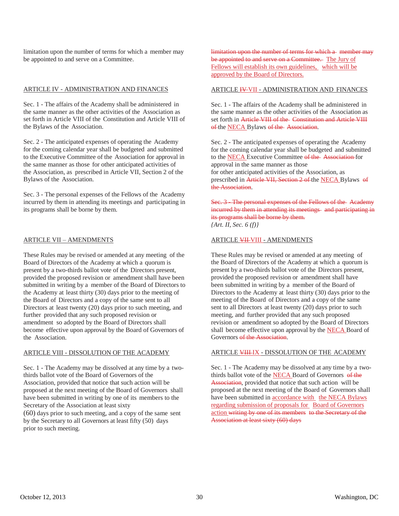limitation upon the number of terms for which a member may be appointed to and serve on a Committee.

#### ARTICLE IV - ADMINISTRATION AND FINANCES

Sec. 1 - The affairs of the Academy shall be administered in the same manner as the other activities of the Association as set forth in Article VIII of the Constitution and Article VIII of the Bylaws of the Association.

Sec. 2 - The anticipated expenses of operating the Academy for the coming calendar year shall be budgeted and submitted to the Executive Committee of the Association for approval in the same manner as those for other anticipated activities of the Association, as prescribed in Article VII, Section 2 of the Bylaws of the Association.

Sec. 3 - The personal expenses of the Fellows of the Academy incurred by them in attending its meetings and participating in its programs shall be borne by them.

## ARTICLE VII – AMENDMENTS

These Rules may be revised or amended at any meeting of the Board of Directors of the Academy at which a quorum is present by a two-thirds ballot vote of the Directors present, provided the proposed revision or amendment shall have been submitted in writing by a member of the Board of Directors to the Academy at least thirty (30) days prior to the meeting of the Board of Directors and a copy of the same sent to all Directors at least twenty (20) days prior to such meeting, and further provided that any such proposed revision or amendment so adopted by the Board of Directors shall become effective upon approval by the Board of Governors of the Association.

#### ARTICLE VIII - DISSOLUTION OF THE ACADEMY

Sec. 1 - The Academy may be dissolved at any time by a twothirds ballot vote of the Board of Governors of the Association, provided that notice that such action will be proposed at the next meeting of the Board of Governors shall have been submitted in writing by one of its members to the Secretary of the Association at least sixty

(60) days prior to such meeting, and a copy of the same sent by the Secretary to all Governors at least fifty (50) days prior to such meeting.

limitation upon the number of terms for which a member may be appointed to and serve on a Committee. The Jury of Fellows will establish its own guidelines, which will be approved by the Board of Directors.

#### ARTICLE **IV VII** - ADMINISTRATION AND FINANCES

Sec. 1 - The affairs of the Academy shall be administered in the same manner as the other activities of the Association as set forth in Article VIII of the Constitution and Article VIII of the NECA Bylaws of the Association.

Sec. 2 - The anticipated expenses of operating the Academy for the coming calendar year shall be budgeted and submitted to the NECA Executive Committee of the Association for approval in the same manner as those for other anticipated activities of the Association, as prescribed in Article VII, Section 2 of the NECA Bylaws of

Sec. 3 The personal expenses of the Fellows of the Academy incurred by them in attending its meetings and participating in its programs shall be borne by them. *{Art. II, Sec. 6 (f)}*

## ARTICLE VII VIII - AMENDMENTS

the Association.

These Rules may be revised or amended at any meeting of the Board of Directors of the Academy at which a quorum is present by a two-thirds ballot vote of the Directors present, provided the proposed revision or amendment shall have been submitted in writing by a member of the Board of Directors to the Academy at least thirty (30) days prior to the meeting of the Board of Directors and a copy of the same sent to all Directors at least twenty (20) days prior to such meeting, and further provided that any such proposed revision or amendment so adopted by the Board of Directors shall become effective upon approval by the **NECA** Board of Governors of the Association.

#### ARTICLE VIII-IX - DISSOLUTION OF THE ACADEMY

Sec. 1 - The Academy may be dissolved at any time by a twothirds ballot vote of the **NECA** Board of Governors of the Association, provided that notice that such action will be proposed at the next meeting of the Board of Governors shall have been submitted in accordance with the NECA Bylaws regarding submission of proposals for Board of Governors action writing by one of its members to the Secretary of the Association at least sixty (60) days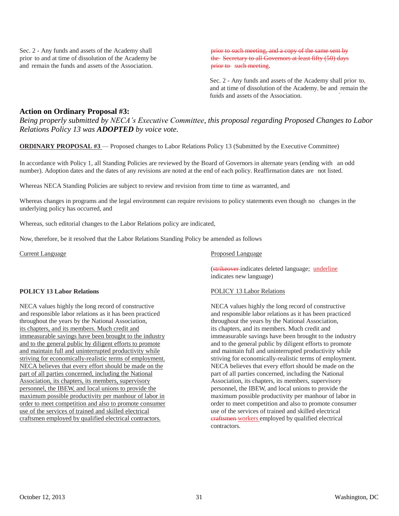Sec. 2 - Any funds and assets of the Academy shall prior to and at time of dissolution of the Academy be and remain the funds and assets of the Association.

prior to such meeting, and a copy of the same sent by the Secretary to all Governors at least fifty (50) days prior to such meeting.

Sec. 2 - Any funds and assets of the Academy shall prior to, and at time of dissolution of the Academy, be and remain the funds and assets of the Association.

# **Action on Ordinary Proposal #3:**

*Being properly submitted by NECA's Executive Committee, this proposal regarding Proposed Changes to Labor Relations Policy 13 was ADOPTED by voice vote.*

**ORDINARY PROPOSAL #3** — Proposed changes to Labor Relations Policy 13 (Submitted by the Executive Committee)

In accordance with Policy 1, all Standing Policies are reviewed by the Board of Governors in alternate years (ending with an odd number). Adoption dates and the dates of any revisions are noted at the end of each policy. Reaffirmation dates are not listed.

Whereas NECA Standing Policies are subject to review and revision from time to time as warranted, and

Whereas changes in programs and the legal environment can require revisions to policy statements even though no changes in the underlying policy has occurred, and

Whereas, such editorial changes to the Labor Relations policy are indicated,

Now, therefore, be it resolved that the Labor Relations Standing Policy be amended as follows

Current Language

# **POLICY 13 Labor Relations**

NECA values highly the long record of constructive and responsible labor relations as it has been practiced throughout the years by the National Association, its chapters, and its members. Much credit and immeasurable savings have been brought to the industry and to the general public by diligent efforts to promote and maintain full and uninterrupted productivity while striving for economically-realistic terms of employment. NECA believes that every effort should be made on the part of all parties concerned, including the National Association, its chapters, its members, supervisory personnel, the IBEW, and local unions to provide the maximum possible productivity per manhour of labor in order to meet competition and also to promote consumer use of the services of trained and skilled electrical craftsmen employed by qualified electrical contractors.

# Proposed Language

(strikeover indicates deleted language; underline indicates new language)

# POLICY 13 Labor Relations

NECA values highly the long record of constructive and responsible labor relations as it has been practiced throughout the years by the National Association, its chapters, and its members. Much credit and immeasurable savings have been brought to the industry and to the general public by diligent efforts to promote and maintain full and uninterrupted productivity while striving for economically-realistic terms of employment. NECA believes that every effort should be made on the part of all parties concerned, including the National Association, its chapters, its members, supervisory personnel, the IBEW, and local unions to provide the maximum possible productivity per manhour of labor in order to meet competition and also to promote consumer use of the services of trained and skilled electrical craftsmen workers employed by qualified electrical contractors.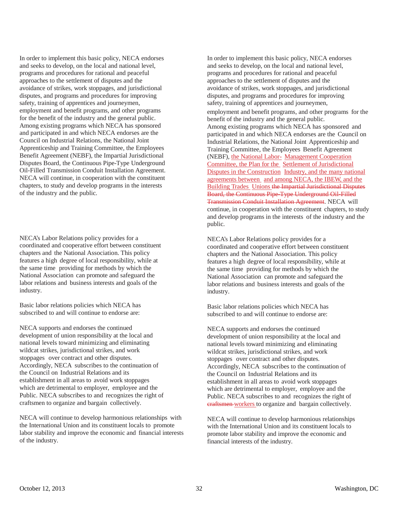In order to implement this basic policy, NECA endorses and seeks to develop, on the local and national level, programs and procedures for rational and peaceful approaches to the settlement of disputes and the avoidance of strikes, work stoppages, and jurisdictional disputes, and programs and procedures for improving safety, training of apprentices and journeymen, employment and benefit programs, and other programs for the benefit of the industry and the general public. Among existing programs which NECA has sponsored and participated in and which NECA endorses are the Council on Industrial Relations, the National Joint Apprenticeship and Training Committee, the Employees Benefit Agreement (NEBF), the Impartial Jurisdictional Disputes Board, the Continuous Pipe-Type Underground Oil-Filled Transmission Conduit Installation Agreement. NECA will continue, in cooperation with the constituent chapters, to study and develop programs in the interests of the industry and the public.

NECA's Labor Relations policy provides for a coordinated and cooperative effort between constituent chapters and the National Association. This policy features a high degree of local responsibility, while at the same time providing for methods by which the National Association can promote and safeguard the labor relations and business interests and goals of the industry.

Basic labor relations policies which NECA has subscribed to and will continue to endorse are:

NECA supports and endorses the continued development of union responsibility at the local and national levels toward minimizing and eliminating wildcat strikes, jurisdictional strikes, and work stoppages over contract and other disputes. Accordingly, NECA subscribes to the continuation of the Council on Industrial Relations and its establishment in all areas to avoid work stoppages which are detrimental to employer, employee and the Public. NECA subscribes to and recognizes the right of craftsmen to organize and bargain collectively.

NECA will continue to develop harmonious relationships with the International Union and its constituent locals to promote labor stability and improve the economic and financial interests of the industry.

In order to implement this basic policy, NECA endorses and seeks to develop, on the local and national level, programs and procedures for rational and peaceful approaches to the settlement of disputes and the avoidance of strikes, work stoppages, and jurisdictional disputes, and programs and procedures for improving safety, training of apprentices and journeymen, employment and benefit programs, and other programs for the benefit of the industry and the general public. Among existing programs which NECA has sponsored and participated in and which NECA endorses are the Council on Industrial Relations, the National Joint Apprenticeship and Training Committee, the Employees Benefit Agreement (NEBF), the National Labor- Management Cooperation Committee, the Plan for the Settlement of Jurisdictional Disputes in the Construction Industry, and the many national agreements between and among NECA, the IBEW, and the Building Trades Unions the Impartial Jurisdictional Disputes Board, the Continuous Pipe-Type Underground Oil-Filled Transmission Conduit Installation Agreement. NECA will continue, in cooperation with the constituent chapters, to study and develop programs in the interests of the industry and the public.

NECA's Labor Relations policy provides for a coordinated and cooperative effort between constituent chapters and the National Association. This policy features a high degree of local responsibility, while at the same time providing for methods by which the National Association can promote and safeguard the labor relations and business interests and goals of the industry.

Basic labor relations policies which NECA has subscribed to and will continue to endorse are:

NECA supports and endorses the continued development of union responsibility at the local and national levels toward minimizing and eliminating wildcat strikes, jurisdictional strikes, and work stoppages over contract and other disputes. Accordingly, NECA subscribes to the continuation of the Council on Industrial Relations and its establishment in all areas to avoid work stoppages which are detrimental to employer, employee and the Public. NECA subscribes to and recognizes the right of craftsmen workers to organize and bargain collectively.

NECA will continue to develop harmonious relationships with the International Union and its constituent locals to promote labor stability and improve the economic and financial interests of the industry.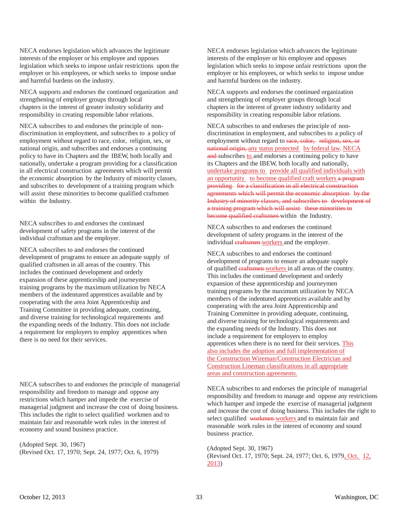NECA endorses legislation which advances the legitimate interests of the employer or his employee and opposes legislation which seeks to impose unfair restrictions upon the employer or his employees, or which seeks to impose undue and harmful burdens on the industry.

NECA supports and endorses the continued organization and strengthening of employer groups through local chapters in the interest of greater industry solidarity and responsibility in creating responsible labor relations.

NECA subscribes to and endorses the principle of nondiscrimination in employment, and subscribes to a policy of employment without regard to race, color, religion, sex, or national origin, and subscribes and endorses a continuing policy to have its Chapters and the IBEW, both locally and nationally, undertake a program providing for a classification in all electrical construction agreements which will permit the economic absorption by the Industry of minority classes, and subscribes to development of a training program which will assist these minorities to become qualified craftsmen within the Industry.

NECA subscribes to and endorses the continued development of safety programs in the interest of the individual craftsman and the employer.

NECA subscribes to and endorses the continued development of programs to ensure an adequate supply of qualified craftsmen in all areas of the country. This includes the continued development and orderly expansion of these apprenticeship and journeymen training programs by the maximum utilization by NECA members of the indentured apprentices available and by cooperating with the area Joint Apprenticeship and Training Committee in providing adequate, continuing, and diverse training for technological requirements and the expanding needs of the Industry. This does not include a requirement for employers to employ apprentices when there is no need for their services.

NECA subscribes to and endorses the principle of managerial responsibility and freedom to manage and oppose any restrictions which hamper and impede the exercise of managerial judgment and increase the cost of doing business. This includes the right to select qualified workmen and to maintain fair and reasonable work rules in the interest of economy and sound business practice.

(Adopted Sept. 30, 1967) (Revised Oct. 17, 1970; Sept. 24, 1977; Oct. 6, 1979) NECA endorses legislation which advances the legitimate interests of the employer or his employee and opposes legislation which seeks to impose unfair restrictions upon the employer or his employees, or which seeks to impose undue and harmful burdens on the industry.

NECA supports and endorses the continued organization and strengthening of employer groups through local chapters in the interest of greater industry solidarity and responsibility in creating responsible labor relations.

NECA subscribes to and endorses the principle of nondiscrimination in employment, and subscribes to a policy of employment without regard to race, color, religion, sex, or national origin, any status protected by federal law. NECA and-subscribes to and endorses a continuing policy to have its Chapters and the IBEW, both locally and nationally, undertake programs to provide all qualified individuals with an opportunity to become qualified craft workers a program providing for a classification in all electrical construction agreements which will permit the economic absorption by the Industry of minority classes, and subscribes to development of a training program which will assist these minorities to become qualified craftsmen within the Industry.

NECA subscribes to and endorses the continued development of safety programs in the interest of the individual eraftsmen-workers and the employer.

NECA subscribes to and endorses the continued development of programs to ensure an adequate supply of qualified **craftsmen** workers in all areas of the country. This includes the continued development and orderly expansion of these apprenticeship and journeymen training programs by the maximum utilization by NECA members of the indentured apprentices available and by cooperating with the area Joint Apprenticeship and Training Committee in providing adequate, continuing, and diverse training for technological requirements and the expanding needs of the Industry. This does not include a requirement for employers to employ apprentices when there is no need for their services. This also includes the adoption and full implementation of the Construction Wireman/Construction Electrician and Construction Lineman classifications in all appropriate areas and construction agreements.

NECA subscribes to and endorses the principle of managerial responsibility and freedom to manage and oppose any restrictions which hamper and impede the exercise of managerial judgment and increase the cost of doing business. This includes the right to select qualified workmen workers and to maintain fair and reasonable work rules in the interest of economy and sound business practice.

(Adopted Sept. 30, 1967) (Revised Oct. 17, 1970; Sept. 24, 1977; Oct. 6, 1979, Oct. 12, 2013)